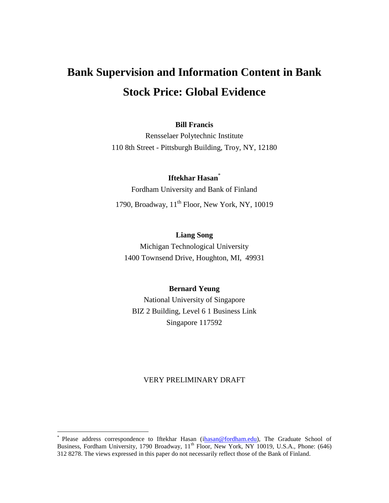# **Bank Supervision and Information Content in Bank Stock Price: Global Evidence**

#### **Bill Francis**

Rensselaer Polytechnic Institute 110 8th Street - Pittsburgh Building, Troy, NY, 12180

## **Iftekhar Hasan**\*

Fordham University and Bank of Finland 1790, Broadway,  $11<sup>th</sup>$  Floor, New York, NY, 10019

## **Liang Song**

Michigan Technological University 1400 Townsend Drive, Houghton, MI, 49931

#### **Bernard Yeung**

National University of Singapore BIZ 2 Building, Level 6 1 Business Link Singapore 117592

#### VERY PRELIMINARY DRAFT

 $\overline{a}$ 

<sup>\*</sup> Please address correspondence to Iftekhar Hasan ([ihasan@fordham.edu\)](mailto:hasan@fordham.edu), The Graduate School of Business, Fordham University, 1790 Broadway, 11<sup>th</sup> Floor, New York, NY 10019, U.S.A., Phone: (646) 312 8278. The views expressed in this paper do not necessarily reflect those of the Bank of Finland.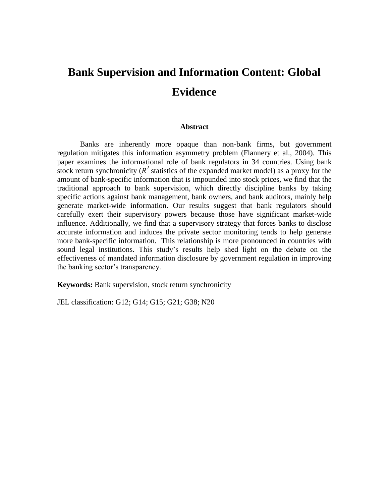## **Bank Supervision and Information Content: Global Evidence**

#### **Abstract**

Banks are inherently more opaque than non-bank firms, but government regulation mitigates this information asymmetry problem (Flannery et al., 2004). This paper examines the informational role of bank regulators in 34 countries. Using bank stock return synchronicity ( $R^2$  statistics of the expanded market model) as a proxy for the amount of bank-specific information that is impounded into stock prices, we find that the traditional approach to bank supervision, which directly discipline banks by taking specific actions against bank management, bank owners, and bank auditors, mainly help generate market-wide information. Our results suggest that bank regulators should carefully exert their supervisory powers because those have significant market-wide influence. Additionally, we find that a supervisory strategy that forces banks to disclose accurate information and induces the private sector monitoring tends to help generate more bank-specific information. This relationship is more pronounced in countries with sound legal institutions. This study's results help shed light on the debate on the effectiveness of mandated information disclosure by government regulation in improving the banking sector's transparency.

**Keywords:** Bank supervision, stock return synchronicity

JEL classification: G12; G14; G15; G21; G38; N20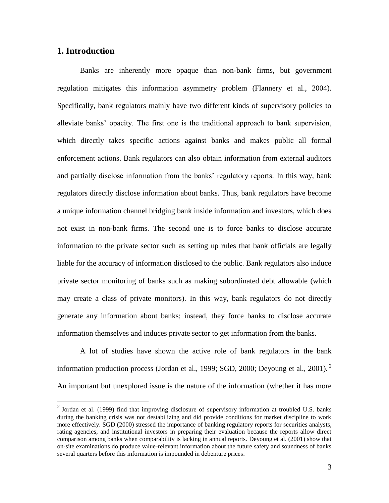## **1. Introduction**

 $\overline{a}$ 

Banks are inherently more opaque than non-bank firms, but government regulation mitigates this information asymmetry problem (Flannery et al., 2004). Specifically, bank regulators mainly have two different kinds of supervisory policies to alleviate banks' opacity. The first one is the traditional approach to bank supervision, which directly takes specific actions against banks and makes public all formal enforcement actions. Bank regulators can also obtain information from external auditors and partially disclose information from the banks' regulatory reports. In this way, bank regulators directly disclose information about banks. Thus, bank regulators have become a unique information channel bridging bank inside information and investors, which does not exist in non-bank firms. The second one is to force banks to disclose accurate information to the private sector such as setting up rules that bank officials are legally liable for the accuracy of information disclosed to the public. Bank regulators also induce private sector monitoring of banks such as making subordinated debt allowable (which may create a class of private monitors). In this way, bank regulators do not directly generate any information about banks; instead, they force banks to disclose accurate information themselves and induces private sector to get information from the banks.

A lot of studies have shown the active role of bank regulators in the bank information production process (Jordan et al., 1999; SGD, 2000; Deyoung et al., 2001).<sup>2</sup> An important but unexplored issue is the nature of the information (whether it has more

 $<sup>2</sup>$  Jordan et al. (1999) find that improving disclosure of supervisory information at troubled U.S. banks</sup> during the banking crisis was not destabilizing and did provide conditions for market discipline to work more effectively. SGD (2000) stressed the importance of banking regulatory reports for securities analysts, rating agencies, and institutional investors in preparing their evaluation because the reports allow direct comparison among banks when comparability is lacking in annual reports. Deyoung et al. (2001) show that on-site examinations do produce value-relevant information about the future safety and soundness of banks several quarters before this information is impounded in debenture prices.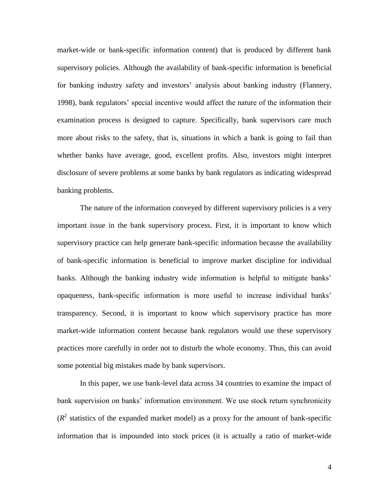market-wide or bank-specific information content) that is produced by different bank supervisory policies. Although the availability of bank-specific information is beneficial for banking industry safety and investors' analysis about banking industry (Flannery, 1998), bank regulators' special incentive would affect the nature of the information their examination process is designed to capture. Specifically, bank supervisors care much more about risks to the safety, that is, situations in which a bank is going to fail than whether banks have average, good, excellent profits. Also, investors might interpret disclosure of severe problems at some banks by bank regulators as indicating widespread banking problems.

The nature of the information conveyed by different supervisory policies is a very important issue in the bank supervisory process. First, it is important to know which supervisory practice can help generate bank-specific information because the availability of bank-specific information is beneficial to improve market discipline for individual banks. Although the banking industry wide information is helpful to mitigate banks' opaqueness, bank-specific information is more useful to increase individual banks' transparency. Second, it is important to know which supervisory practice has more market-wide information content because bank regulators would use these supervisory practices more carefully in order not to disturb the whole economy. Thus, this can avoid some potential big mistakes made by bank supervisors.

In this paper, we use bank-level data across 34 countries to examine the impact of bank supervision on banks' information environment. We use stock return synchronicity  $(R<sup>2</sup>$  statistics of the expanded market model) as a proxy for the amount of bank-specific information that is impounded into stock prices (it is actually a ratio of market-wide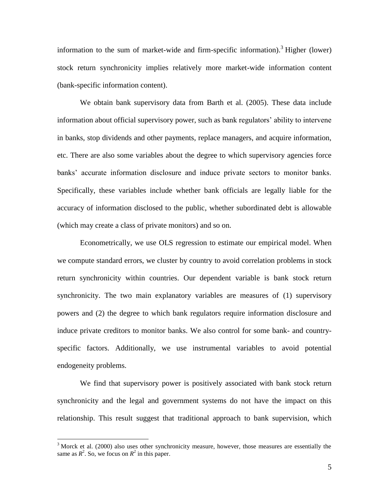information to the sum of market-wide and firm-specific information).<sup>3</sup> Higher (lower) stock return synchronicity implies relatively more market-wide information content (bank-specific information content).

We obtain bank supervisory data from Barth et al. (2005). These data include information about official supervisory power, such as bank regulators' ability to intervene in banks, stop dividends and other payments, replace managers, and acquire information, etc. There are also some variables about the degree to which supervisory agencies force banks' accurate information disclosure and induce private sectors to monitor banks. Specifically, these variables include whether bank officials are legally liable for the accuracy of information disclosed to the public, whether subordinated debt is allowable (which may create a class of private monitors) and so on.

Econometrically, we use OLS regression to estimate our empirical model. When we compute standard errors, we cluster by country to avoid correlation problems in stock return synchronicity within countries. Our dependent variable is bank stock return synchronicity. The two main explanatory variables are measures of (1) supervisory powers and (2) the degree to which bank regulators require information disclosure and induce private creditors to monitor banks. We also control for some bank- and countryspecific factors. Additionally, we use instrumental variables to avoid potential endogeneity problems.

We find that supervisory power is positively associated with bank stock return synchronicity and the legal and government systems do not have the impact on this relationship. This result suggest that traditional approach to bank supervision, which

 $\overline{a}$ 

 $3$  Morck et al. (2000) also uses other synchronicity measure, however, those measures are essentially the same as  $R^2$ . So, we focus on  $R^2$  in this paper.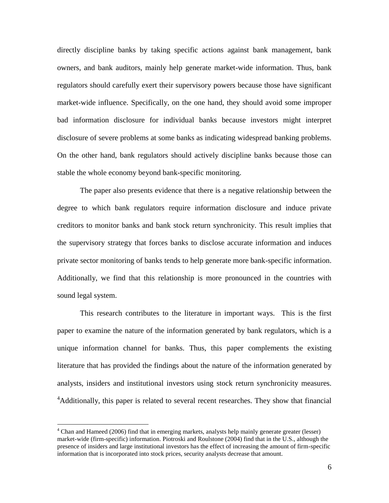directly discipline banks by taking specific actions against bank management, bank owners, and bank auditors, mainly help generate market-wide information. Thus, bank regulators should carefully exert their supervisory powers because those have significant market-wide influence. Specifically, on the one hand, they should avoid some improper bad information disclosure for individual banks because investors might interpret disclosure of severe problems at some banks as indicating widespread banking problems. On the other hand, bank regulators should actively discipline banks because those can stable the whole economy beyond bank-specific monitoring.

The paper also presents evidence that there is a negative relationship between the degree to which bank regulators require information disclosure and induce private creditors to monitor banks and bank stock return synchronicity. This result implies that the supervisory strategy that forces banks to disclose accurate information and induces private sector monitoring of banks tends to help generate more bank-specific information. Additionally, we find that this relationship is more pronounced in the countries with sound legal system.

This research contributes to the literature in important ways. This is the first paper to examine the nature of the information generated by bank regulators, which is a unique information channel for banks. Thus, this paper complements the existing literature that has provided the findings about the nature of the information generated by analysts, insiders and institutional investors using stock return synchronicity measures. <sup>4</sup>Additionally, this paper is related to several recent researches. They show that financial

 $\overline{a}$ 

<sup>&</sup>lt;sup>4</sup> Chan and Hameed (2006) find that in emerging markets, analysts help mainly generate greater (lesser) market-wide (firm-specific) information. Piotroski and Roulstone (2004) find that in the U.S., although the presence of insiders and large institutional investors has the effect of increasing the amount of firm-specific information that is incorporated into stock prices, security analysts decrease that amount.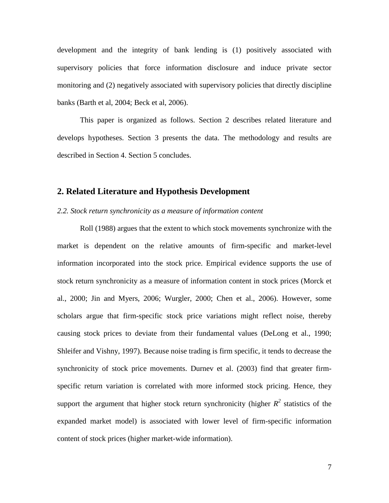development and the integrity of bank lending is (1) positively associated with supervisory policies that force information disclosure and induce private sector monitoring and (2) negatively associated with supervisory policies that directly discipline banks (Barth et al, 2004; Beck et al, 2006).

This paper is organized as follows. Section 2 describes related literature and develops hypotheses. Section 3 presents the data. The methodology and results are described in Section 4. Section 5 concludes.

### **2. Related Literature and Hypothesis Development**

#### *2.2. Stock return synchronicity as a measure of information content*

Roll (1988) argues that the extent to which stock movements synchronize with the market is dependent on the relative amounts of firm-specific and market-level information incorporated into the stock price. Empirical evidence supports the use of stock return synchronicity as a measure of information content in stock prices (Morck et al., 2000; Jin and Myers, 2006; Wurgler, 2000; Chen et al., 2006). However, some scholars argue that firm-specific stock price variations might reflect noise, thereby causing stock prices to deviate from their fundamental values (DeLong et al., 1990; Shleifer and Vishny, 1997). Because noise trading is firm specific, it tends to decrease the synchronicity of stock price movements. Durnev et al. (2003) find that greater firmspecific return variation is correlated with more informed stock pricing. Hence, they support the argument that higher stock return synchronicity (higher  $R^2$  statistics of the expanded market model) is associated with lower level of firm-specific information content of stock prices (higher market-wide information).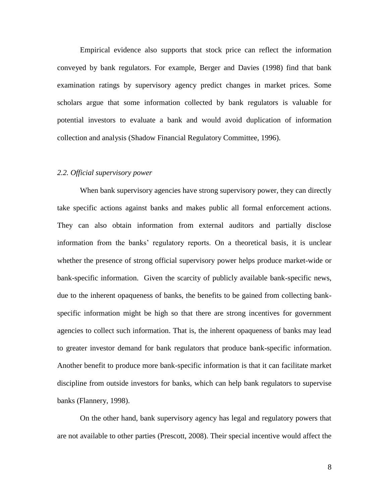Empirical evidence also supports that stock price can reflect the information conveyed by bank regulators. For example, Berger and Davies (1998) find that bank examination ratings by supervisory agency predict changes in market prices. Some scholars argue that some information collected by bank regulators is valuable for potential investors to evaluate a bank and would avoid duplication of information collection and analysis (Shadow Financial Regulatory Committee, 1996).

#### *2.2. Official supervisory power*

When bank supervisory agencies have strong supervisory power, they can directly take specific actions against banks and makes public all formal enforcement actions. They can also obtain information from external auditors and partially disclose information from the banks' regulatory reports. On a theoretical basis, it is unclear whether the presence of strong official supervisory power helps produce market-wide or bank-specific information. Given the scarcity of publicly available bank-specific news, due to the inherent opaqueness of banks, the benefits to be gained from collecting bankspecific information might be high so that there are strong incentives for government agencies to collect such information. That is, the inherent opaqueness of banks may lead to greater investor demand for bank regulators that produce bank-specific information. Another benefit to produce more bank-specific information is that it can facilitate market discipline from outside investors for banks, which can help bank regulators to supervise banks (Flannery, 1998).

On the other hand, bank supervisory agency has legal and regulatory powers that are not available to other parties (Prescott, 2008). Their special incentive would affect the

8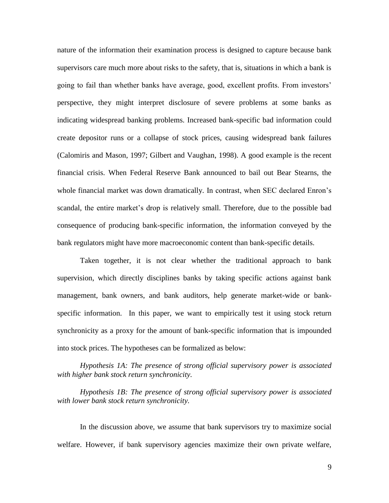nature of the information their examination process is designed to capture because bank supervisors care much more about risks to the safety, that is, situations in which a bank is going to fail than whether banks have average, good, excellent profits. From investors' perspective, they might interpret disclosure of severe problems at some banks as indicating widespread banking problems. Increased bank-specific bad information could create depositor runs or a collapse of stock prices, causing widespread bank failures (Calomiris and Mason, 1997; Gilbert and Vaughan, 1998). A good example is the recent financial crisis. When Federal Reserve Bank announced to bail out Bear Stearns, the whole financial market was down dramatically. In contrast, when SEC declared Enron's scandal, the entire market's drop is relatively small. Therefore, due to the possible bad consequence of producing bank-specific information, the information conveyed by the bank regulators might have more macroeconomic content than bank-specific details.

Taken together, it is not clear whether the traditional approach to bank supervision, which directly disciplines banks by taking specific actions against bank management, bank owners, and bank auditors, help generate market-wide or bankspecific information. In this paper, we want to empirically test it using stock return synchronicity as a proxy for the amount of bank-specific information that is impounded into stock prices. The hypotheses can be formalized as below:

*Hypothesis 1A: The presence of strong official supervisory power is associated with higher bank stock return synchronicity.*

*Hypothesis 1B: The presence of strong official supervisory power is associated with lower bank stock return synchronicity.*

In the discussion above, we assume that bank supervisors try to maximize social welfare. However, if bank supervisory agencies maximize their own private welfare,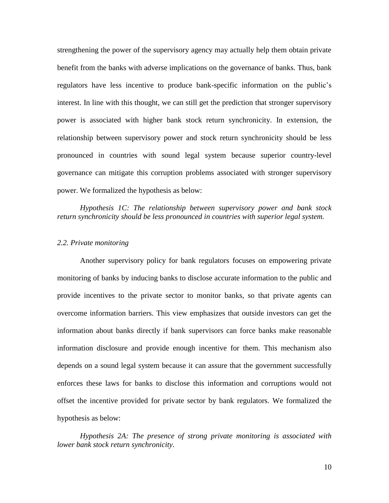strengthening the power of the supervisory agency may actually help them obtain private benefit from the banks with adverse implications on the governance of banks. Thus, bank regulators have less incentive to produce bank-specific information on the public's interest. In line with this thought, we can still get the prediction that stronger supervisory power is associated with higher bank stock return synchronicity. In extension, the relationship between supervisory power and stock return synchronicity should be less pronounced in countries with sound legal system because superior country-level governance can mitigate this corruption problems associated with stronger supervisory power. We formalized the hypothesis as below:

*Hypothesis 1C: The relationship between supervisory power and bank stock return synchronicity should be less pronounced in countries with superior legal system.*

#### *2.2. Private monitoring*

Another supervisory policy for bank regulators focuses on empowering private monitoring of banks by inducing banks to disclose accurate information to the public and provide incentives to the private sector to monitor banks, so that private agents can overcome information barriers. This view emphasizes that outside investors can get the information about banks directly if bank supervisors can force banks make reasonable information disclosure and provide enough incentive for them. This mechanism also depends on a sound legal system because it can assure that the government successfully enforces these laws for banks to disclose this information and corruptions would not offset the incentive provided for private sector by bank regulators. We formalized the hypothesis as below:

*Hypothesis 2A: The presence of strong private monitoring is associated with lower bank stock return synchronicity.*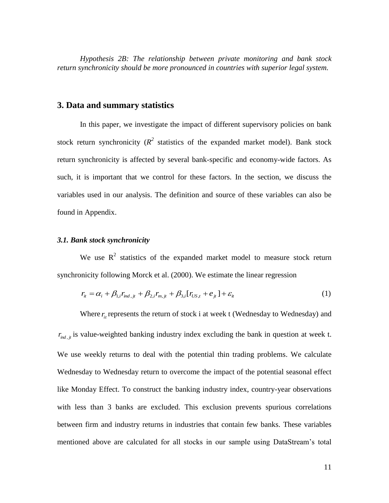*Hypothesis 2B: The relationship between private monitoring and bank stock return synchronicity should be more pronounced in countries with superior legal system.*

#### **3. Data and summary statistics**

In this paper, we investigate the impact of different supervisory policies on bank stock return synchronicity ( $R^2$  statistics of the expanded market model). Bank stock return synchronicity is affected by several bank-specific and economy-wide factors. As such, it is important that we control for these factors. In the section, we discuss the variables used in our analysis. The definition and source of these variables can also be found in Appendix.

#### *3.1. Bank stock synchronicity*

We use  $R^2$  statistics of the expanded market model to measure stock return synchronicity following Morck et al. (2000). We estimate the linear regression

$$
r_{it} = \alpha_i + \beta_{1,i} r_{ind,jt} + \beta_{2,i} r_{m,jt} + \beta_{3,i} [r_{US,t} + e_{jt}] + \varepsilon_{it}
$$
 (1)

Where  $r_{it}$  represents the return of stock i at week t (Wednesday to Wednesday) and  $r_{ind,j}$  is value-weighted banking industry index excluding the bank in question at week t. We use weekly returns to deal with the potential thin trading problems. We calculate Wednesday to Wednesday return to overcome the impact of the potential seasonal effect like Monday Effect. To construct the banking industry index, country-year observations with less than 3 banks are excluded. This exclusion prevents spurious correlations between firm and industry returns in industries that contain few banks. These variables mentioned above are calculated for all stocks in our sample using DataStream's total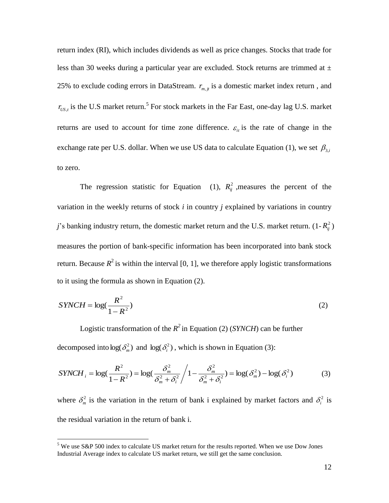return index (RI), which includes dividends as well as price changes. Stocks that trade for less than 30 weeks during a particular year are excluded. Stock returns are trimmed at  $\pm$ 25% to exclude coding errors in DataStream.  $r_{m,i}$  is a domestic market index return, and  $r_{US,t}$  is the U.S market return.<sup>5</sup> For stock markets in the Far East, one-day lag U.S. market returns are used to account for time zone difference.  $\varepsilon$ <sub>*it*</sub> is the rate of change in the exchange rate per U.S. dollar. When we use US data to calculate Equation (1), we set  $\beta_{3,i}$ to zero.

The regression statistic for Equation (1),  $R_{ij}^2$ , measures the percent of the variation in the weekly returns of stock *i* in country *j* explained by variations in country *j*'s banking industry return, the domestic market return and the U.S. market return.  $(1 - R_{ij}^2)$ measures the portion of bank-specific information has been incorporated into bank stock return. Because  $R^2$  is within the interval [0, 1], we therefore apply logistic transformations to it using the formula as shown in Equation (2).

$$
SYNCH = \log(\frac{R^2}{1 - R^2})
$$
\n(2)

Logistic transformation of the  $R^2$  in Equation (2) (*SYNCH*) can be further decomposed into  $\log(\delta_m^2)$  and  $\log(\delta_i^2)$ , which is shown in Equation (3):

$$
SYNCH_i = \log(\frac{R^2}{1 - R^2}) = \log(\frac{\delta_m^2}{\delta_m^2 + \delta_i^2}) / 1 - \frac{\delta_m^2}{\delta_m^2 + \delta_i^2} = \log(\delta_m^2) - \log(\delta_i^2)
$$
(3)

where  $\delta_m^2$  is the variation in the return of bank i explained by market factors and  $\delta_i^2$  is the residual variation in the return of bank i.

 $\overline{a}$ 

 $5$  We use S&P 500 index to calculate US market return for the results reported. When we use Dow Jones Industrial Average index to calculate US market return, we still get the same conclusion.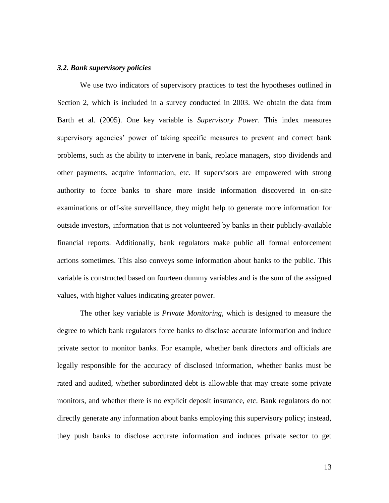#### *3.2. Bank supervisory policies*

We use two indicators of supervisory practices to test the hypotheses outlined in Section 2, which is included in a survey conducted in 2003. We obtain the data from Barth et al. (2005). One key variable is *Supervisory Power*. This index measures supervisory agencies' power of taking specific measures to prevent and correct bank problems, such as the ability to intervene in bank, replace managers, stop dividends and other payments, acquire information, etc. If supervisors are empowered with strong authority to force banks to share more inside information discovered in on-site examinations or off-site surveillance, they might help to generate more information for outside investors, information that is not volunteered by banks in their publicly-available financial reports. Additionally, bank regulators make public all formal enforcement actions sometimes. This also conveys some information about banks to the public. This variable is constructed based on fourteen dummy variables and is the sum of the assigned values, with higher values indicating greater power.

The other key variable is *Private Monitoring*, which is designed to measure the degree to which bank regulators force banks to disclose accurate information and induce private sector to monitor banks. For example, whether bank directors and officials are legally responsible for the accuracy of disclosed information, whether banks must be rated and audited, whether subordinated debt is allowable that may create some private monitors, and whether there is no explicit deposit insurance, etc. Bank regulators do not directly generate any information about banks employing this supervisory policy; instead, they push banks to disclose accurate information and induces private sector to get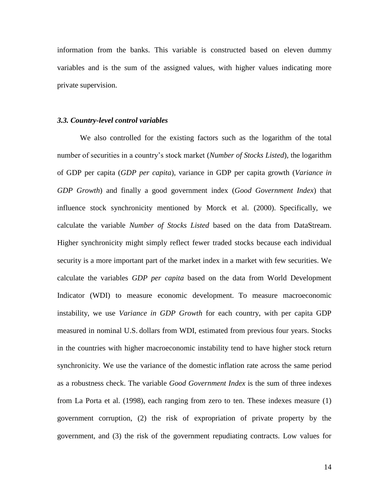information from the banks. This variable is constructed based on eleven dummy variables and is the sum of the assigned values, with higher values indicating more private supervision.

#### *3.3. Country-level control variables*

We also controlled for the existing factors such as the logarithm of the total number of securities in a country's stock market (*Number of Stocks Listed*), the logarithm of GDP per capita (*GDP per capita*), variance in GDP per capita growth (*Variance in GDP Growth*) and finally a good government index (*Good Government Index*) that influence stock synchronicity mentioned by Morck et al. (2000). Specifically, we calculate the variable *Number of Stocks Listed* based on the data from DataStream. Higher synchronicity might simply reflect fewer traded stocks because each individual security is a more important part of the market index in a market with few securities. We calculate the variables *GDP per capita* based on the data from World Development Indicator (WDI) to measure economic development. To measure macroeconomic instability, we use *Variance in GDP Growth* for each country, with per capita GDP measured in nominal U.S. dollars from WDI, estimated from previous four years. Stocks in the countries with higher macroeconomic instability tend to have higher stock return synchronicity. We use the variance of the domestic inflation rate across the same period as a robustness check. The variable *Good Government Index* is the sum of three indexes from La Porta et al. (1998), each ranging from zero to ten. These indexes measure (1) government corruption, (2) the risk of expropriation of private property by the government, and (3) the risk of the government repudiating contracts. Low values for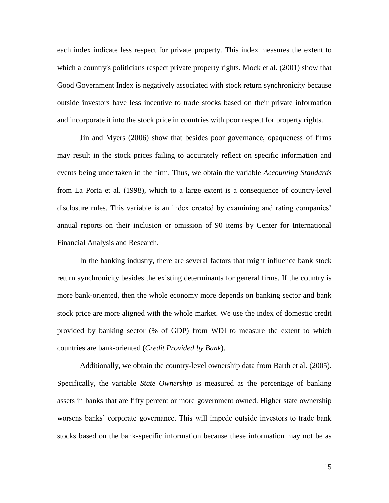each index indicate less respect for private property. This index measures the extent to which a country's politicians respect private property rights. Mock et al. (2001) show that Good Government Index is negatively associated with stock return synchronicity because outside investors have less incentive to trade stocks based on their private information and incorporate it into the stock price in countries with poor respect for property rights.

Jin and Myers (2006) show that besides poor governance, opaqueness of firms may result in the stock prices failing to accurately reflect on specific information and events being undertaken in the firm. Thus, we obtain the variable *Accounting Standards* from La Porta et al. (1998), which to a large extent is a consequence of country-level disclosure rules. This variable is an index created by examining and rating companies' annual reports on their inclusion or omission of 90 items by Center for International Financial Analysis and Research.

In the banking industry, there are several factors that might influence bank stock return synchronicity besides the existing determinants for general firms. If the country is more bank-oriented, then the whole economy more depends on banking sector and bank stock price are more aligned with the whole market. We use the index of domestic credit provided by banking sector (% of GDP) from WDI to measure the extent to which countries are bank-oriented (*Credit Provided by Bank*).

Additionally, we obtain the country-level ownership data from Barth et al. (2005). Specifically, the variable *State Ownership* is measured as the percentage of banking assets in banks that are fifty percent or more government owned. Higher state ownership worsens banks' corporate governance. This will impede outside investors to trade bank stocks based on the bank-specific information because these information may not be as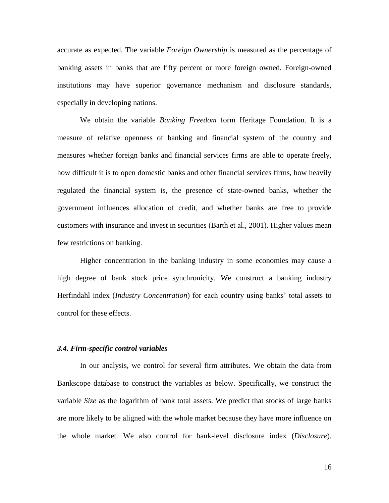accurate as expected. The variable *Foreign Ownership* is measured as the percentage of banking assets in banks that are fifty percent or more foreign owned. Foreign-owned institutions may have superior governance mechanism and disclosure standards, especially in developing nations.

We obtain the variable *Banking Freedom* form Heritage Foundation. It is a measure of relative openness of banking and financial system of the country and measures whether foreign banks and financial services firms are able to operate freely, how difficult it is to open domestic banks and other financial services firms, how heavily regulated the financial system is, the presence of state-owned banks, whether the government influences allocation of credit, and whether banks are free to provide customers with insurance and invest in securities (Barth et al., 2001). Higher values mean few restrictions on banking.

Higher concentration in the banking industry in some economies may cause a high degree of bank stock price synchronicity. We construct a banking industry Herfindahl index (*Industry Concentration*) for each country using banks' total assets to control for these effects.

#### *3.4. Firm-specific control variables*

In our analysis, we control for several firm attributes. We obtain the data from Bankscope database to construct the variables as below. Specifically, we construct the variable *Size* as the logarithm of bank total assets. We predict that stocks of large banks are more likely to be aligned with the whole market because they have more influence on the whole market. We also control for bank-level disclosure index (*Disclosure*).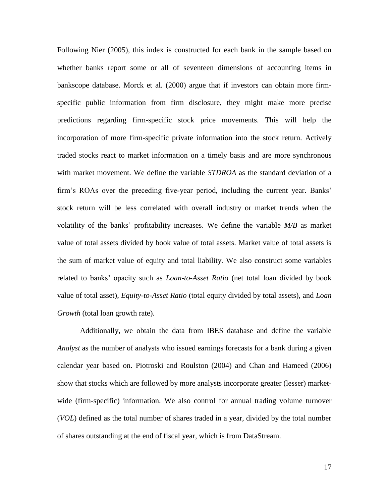Following Nier (2005), this index is constructed for each bank in the sample based on whether banks report some or all of seventeen dimensions of accounting items in bankscope database. Morck et al. (2000) argue that if investors can obtain more firmspecific public information from firm disclosure, they might make more precise predictions regarding firm-specific stock price movements. This will help the incorporation of more firm-specific private information into the stock return. Actively traded stocks react to market information on a timely basis and are more synchronous with market movement. We define the variable *STDROA* as the standard deviation of a firm's ROAs over the preceding five-year period, including the current year. Banks' stock return will be less correlated with overall industry or market trends when the volatility of the banks' profitability increases. We define the variable *M/B* as market value of total assets divided by book value of total assets. Market value of total assets is the sum of market value of equity and total liability. We also construct some variables related to banks' opacity such as *Loan-to-Asset Ratio* (net total loan divided by book value of total asset), *Equity-to-Asset Ratio* (total equity divided by total assets), and *Loan Growth* (total loan growth rate).

Additionally, we obtain the data from IBES database and define the variable *Analyst* as the number of analysts who issued earnings forecasts for a bank during a given calendar year based on. Piotroski and Roulston (2004) and Chan and Hameed (2006) show that stocks which are followed by more analysts incorporate greater (lesser) marketwide (firm-specific) information. We also control for annual trading volume turnover (*VOL*) defined as the total number of shares traded in a year, divided by the total number of shares outstanding at the end of fiscal year, which is from DataStream.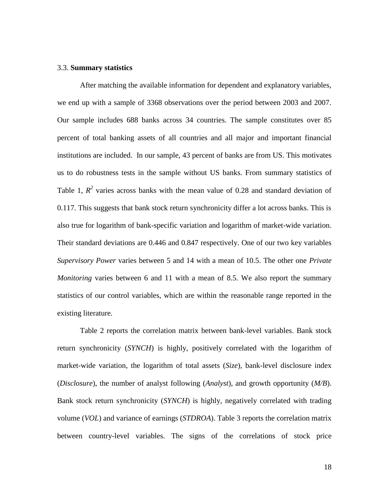#### 3.3. **Summary statistics**

After matching the available information for dependent and explanatory variables, we end up with a sample of 3368 observations over the period between 2003 and 2007. Our sample includes 688 banks across 34 countries. The sample constitutes over 85 percent of total banking assets of all countries and all major and important financial institutions are included. In our sample, 43 percent of banks are from US. This motivates us to do robustness tests in the sample without US banks. From summary statistics of Table 1,  $R^2$  varies across banks with the mean value of 0.28 and standard deviation of 0.117. This suggests that bank stock return synchronicity differ a lot across banks. This is also true for logarithm of bank-specific variation and logarithm of market-wide variation. Their standard deviations are 0.446 and 0.847 respectively. One of our two key variables *Supervisory Power* varies between 5 and 14 with a mean of 10.5. The other one *Private Monitoring* varies between 6 and 11 with a mean of 8.5. We also report the summary statistics of our control variables, which are within the reasonable range reported in the existing literature.

Table 2 reports the correlation matrix between bank-level variables. Bank stock return synchronicity (*SYNCH*) is highly, positively correlated with the logarithm of market-wide variation, the logarithm of total assets (*Size*), bank-level disclosure index (*Disclosure*), the number of analyst following (*Analyst*), and growth opportunity (*M/B*). Bank stock return synchronicity (*SYNCH*) is highly, negatively correlated with trading volume (*VOL*) and variance of earnings (*STDROA*). Table 3 reports the correlation matrix between country-level variables. The signs of the correlations of stock price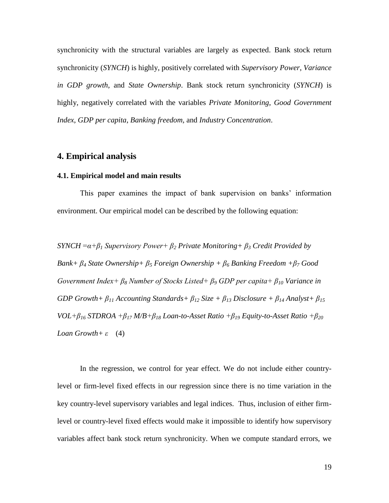synchronicity with the structural variables are largely as expected. Bank stock return synchronicity (*SYNCH*) is highly, positively correlated with *Supervisory Power*, *Variance in GDP growth*, and *State Ownership*. Bank stock return synchronicity (*SYNCH*) is highly, negatively correlated with the variables *Private Monitoring*, *Good Government Index*, *GDP per capita*, *Banking freedom,* and *Industry Concentration*.

### **4. Empirical analysis**

#### **4.1. Empirical model and main results**

This paper examines the impact of bank supervision on banks' information environment. Our empirical model can be described by the following equation:

*SYNCH =α+β<sup>1</sup> Supervisory Power+ β<sup>2</sup> Private Monitoring+ β<sup>3</sup> Credit Provided by Bank+ β<sup>4</sup> State Ownership+ β<sup>5</sup> Foreign Ownership + β<sup>6</sup> Banking Freedom +β<sup>7</sup> Good Government Index+ β<sup>8</sup> Number of Stocks Listed+ β<sup>9</sup> GDP per capita+ β<sup>10</sup> Variance in GDP Growth+ β<sup>11</sup> Accounting Standards+ β<sup>12</sup> Size + β<sup>13</sup> Disclosure + β<sup>14</sup> Analyst+ β<sup>15</sup> VOL+β<sup>16</sup> STDROA +β<sup>17</sup> M/B+β<sup>18</sup> Loan-to-Asset Ratio +β<sup>19</sup> Equity-to-Asset Ratio +β<sup>20</sup> Loan Growth+ ε* (4)

In the regression, we control for year effect. We do not include either countrylevel or firm-level fixed effects in our regression since there is no time variation in the key country-level supervisory variables and legal indices. Thus, inclusion of either firmlevel or country-level fixed effects would make it impossible to identify how supervisory variables affect bank stock return synchronicity. When we compute standard errors, we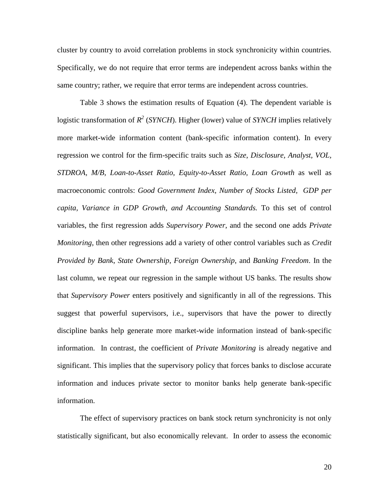cluster by country to avoid correlation problems in stock synchronicity within countries. Specifically, we do not require that error terms are independent across banks within the same country; rather, we require that error terms are independent across countries.

Table 3 shows the estimation results of Equation (4). The dependent variable is logistic transformation of  $R^2$  (*SYNCH*). Higher (lower) value of *SYNCH* implies relatively more market-wide information content (bank-specific information content). In every regression we control for the firm-specific traits such as *Size*, *Disclosure, Analyst, VOL, STDROA, M/B, Loan-to-Asset Ratio, Equity-to-Asset Ratio, Loan Growth* as well as macroeconomic controls: *Good Government Index, Number of Stocks Listed, GDP per capita, Variance in GDP Growth, and Accounting Standards.* To this set of control variables, the first regression adds *Supervisory Power*, and the second one adds *Private Monitoring*, then other regressions add a variety of other control variables such as *Credit Provided by Bank*, *State Ownership*, *Foreign Ownership*, and *Banking Freedom*. In the last column, we repeat our regression in the sample without US banks. The results show that *Supervisory Power* enters positively and significantly in all of the regressions. This suggest that powerful supervisors, i.e., supervisors that have the power to directly discipline banks help generate more market-wide information instead of bank-specific information. In contrast, the coefficient of *Private Monitoring* is already negative and significant. This implies that the supervisory policy that forces banks to disclose accurate information and induces private sector to monitor banks help generate bank-specific information.

The effect of supervisory practices on bank stock return synchronicity is not only statistically significant, but also economically relevant. In order to assess the economic

20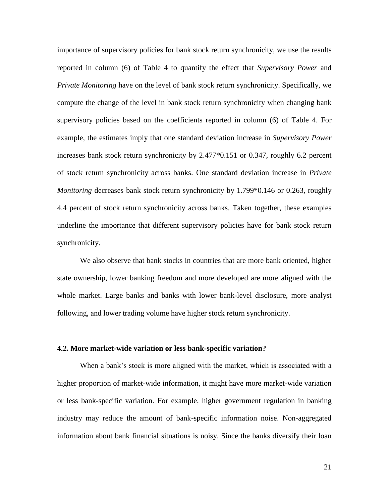importance of supervisory policies for bank stock return synchronicity, we use the results reported in column (6) of Table 4 to quantify the effect that *Supervisory Power* and *Private Monitoring* have on the level of bank stock return synchronicity. Specifically, we compute the change of the level in bank stock return synchronicity when changing bank supervisory policies based on the coefficients reported in column (6) of Table 4. For example, the estimates imply that one standard deviation increase in *Supervisory Power* increases bank stock return synchronicity by 2.477\*0.151 or 0.347, roughly 6.2 percent of stock return synchronicity across banks. One standard deviation increase in *Private Monitoring* decreases bank stock return synchronicity by 1.799\*0.146 or 0.263, roughly 4.4 percent of stock return synchronicity across banks. Taken together, these examples underline the importance that different supervisory policies have for bank stock return synchronicity.

We also observe that bank stocks in countries that are more bank oriented, higher state ownership, lower banking freedom and more developed are more aligned with the whole market. Large banks and banks with lower bank-level disclosure, more analyst following, and lower trading volume have higher stock return synchronicity.

#### **4.2. More market-wide variation or less bank-specific variation?**

When a bank's stock is more aligned with the market, which is associated with a higher proportion of market-wide information, it might have more market-wide variation or less bank-specific variation. For example, higher government regulation in banking industry may reduce the amount of bank-specific information noise. Non-aggregated information about bank financial situations is noisy. Since the banks diversify their loan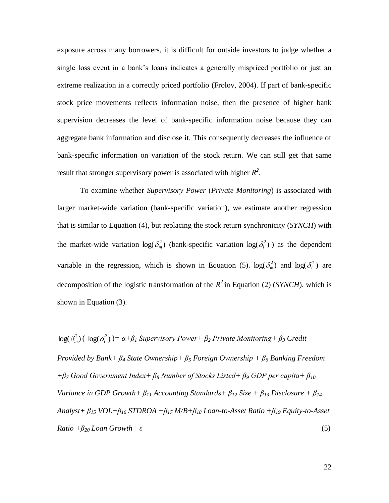exposure across many borrowers, it is difficult for outside investors to judge whether a single loss event in a bank's loans indicates a generally mispriced portfolio or just an extreme realization in a correctly priced portfolio (Frolov, 2004). If part of bank-specific stock price movements reflects information noise, then the presence of higher bank supervision decreases the level of bank-specific information noise because they can aggregate bank information and disclose it. This consequently decreases the influence of bank-specific information on variation of the stock return. We can still get that same result that stronger supervisory power is associated with higher  $R^2$ .

To examine whether *Supervisory Power* (*Private Monitoring*) is associated with larger market-wide variation (bank-specific variation), we estimate another regression that is similar to Equation (4), but replacing the stock return synchronicity (*SYNCH*) with the market-wide variation  $log(\delta_m^2)$  (bank-specific variation  $log(\delta_i^2)$ ) as the dependent variable in the regression, which is shown in Equation (5).  $\log(\delta_m^2)$  and  $\log(\delta_i^2)$  are decomposition of the logistic transformation of the  $R^2$  in Equation (2) (*SYNCH*), which is shown in Equation (3).

 $log(\delta_m^2)$  (  $log(\delta_i^2)$  )=  $\alpha + \beta_1$  Supervisory Power+  $\beta_2$  Private Monitoring+  $\beta_3$  Credit *Provided by Bank+ β<sup>4</sup> State Ownership+ β<sup>5</sup> Foreign Ownership + β<sup>6</sup> Banking Freedom +β<sup>7</sup> Good Government Index+ β<sup>8</sup> Number of Stocks Listed+ β<sup>9</sup> GDP per capita+ β<sup>10</sup> Variance in GDP Growth+ β<sup>11</sup> Accounting Standards+ β<sup>12</sup> Size + β<sup>13</sup> Disclosure + β<sup>14</sup> Analyst+ β<sup>15</sup> VOL+β<sup>16</sup> STDROA +β<sup>17</sup> M/B+β<sup>18</sup> Loan-to-Asset Ratio +β<sup>19</sup> Equity-to-Asset Ratio*  $+\beta_{20}$  *Loan Growth* + *ε* (5)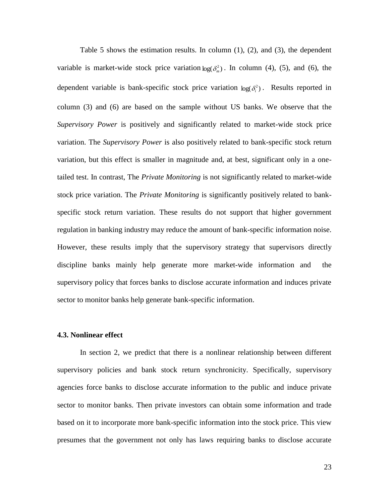Table 5 shows the estimation results. In column  $(1)$ ,  $(2)$ , and  $(3)$ , the dependent variable is market-wide stock price variation  $log(\delta_m^2)$ . In column (4), (5), and (6), the dependent variable is bank-specific stock price variation  $log(\delta_i^2)$ . Results reported in column (3) and (6) are based on the sample without US banks. We observe that the *Supervisory Power* is positively and significantly related to market-wide stock price variation. The *Supervisory Power* is also positively related to bank-specific stock return variation, but this effect is smaller in magnitude and, at best, significant only in a onetailed test. In contrast, The *Private Monitoring* is not significantly related to market-wide stock price variation. The *Private Monitoring* is significantly positively related to bankspecific stock return variation. These results do not support that higher government regulation in banking industry may reduce the amount of bank-specific information noise. However, these results imply that the supervisory strategy that supervisors directly discipline banks mainly help generate more market-wide information and the supervisory policy that forces banks to disclose accurate information and induces private sector to monitor banks help generate bank-specific information.

#### **4.3. Nonlinear effect**

In section 2, we predict that there is a nonlinear relationship between different supervisory policies and bank stock return synchronicity. Specifically, supervisory agencies force banks to disclose accurate information to the public and induce private sector to monitor banks. Then private investors can obtain some information and trade based on it to incorporate more bank-specific information into the stock price. This view presumes that the government not only has laws requiring banks to disclose accurate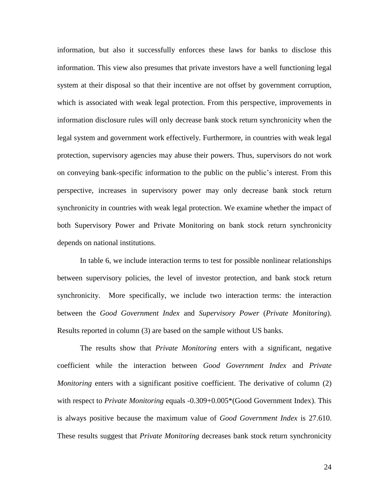information, but also it successfully enforces these laws for banks to disclose this information. This view also presumes that private investors have a well functioning legal system at their disposal so that their incentive are not offset by government corruption, which is associated with weak legal protection. From this perspective, improvements in information disclosure rules will only decrease bank stock return synchronicity when the legal system and government work effectively. Furthermore, in countries with weak legal protection, supervisory agencies may abuse their powers. Thus, supervisors do not work on conveying bank-specific information to the public on the public's interest. From this perspective, increases in supervisory power may only decrease bank stock return synchronicity in countries with weak legal protection. We examine whether the impact of both Supervisory Power and Private Monitoring on bank stock return synchronicity depends on national institutions.

In table 6, we include interaction terms to test for possible nonlinear relationships between supervisory policies, the level of investor protection, and bank stock return synchronicity. More specifically, we include two interaction terms: the interaction between the *Good Government Index* and *Supervisory Power* (*Private Monitoring*). Results reported in column (3) are based on the sample without US banks.

The results show that *Private Monitoring* enters with a significant, negative coefficient while the interaction between *Good Government Index* and *Private Monitoring* enters with a significant positive coefficient. The derivative of column (2) with respect to *Private Monitoring* equals -0.309+0.005\*(Good Government Index). This is always positive because the maximum value of *Good Government Index* is 27.610. These results suggest that *Private Monitoring* decreases bank stock return synchronicity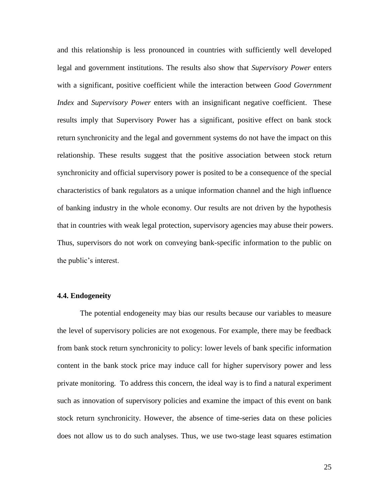and this relationship is less pronounced in countries with sufficiently well developed legal and government institutions. The results also show that *Supervisory Power* enters with a significant, positive coefficient while the interaction between *Good Government Index* and *Supervisory Power* enters with an insignificant negative coefficient. These results imply that Supervisory Power has a significant, positive effect on bank stock return synchronicity and the legal and government systems do not have the impact on this relationship. These results suggest that the positive association between stock return synchronicity and official supervisory power is posited to be a consequence of the special characteristics of bank regulators as a unique information channel and the high influence of banking industry in the whole economy. Our results are not driven by the hypothesis that in countries with weak legal protection, supervisory agencies may abuse their powers. Thus, supervisors do not work on conveying bank-specific information to the public on the public's interest.

#### **4.4. Endogeneity**

The potential endogeneity may bias our results because our variables to measure the level of supervisory policies are not exogenous. For example, there may be feedback from bank stock return synchronicity to policy: lower levels of bank specific information content in the bank stock price may induce call for higher supervisory power and less private monitoring. To address this concern, the ideal way is to find a natural experiment such as innovation of supervisory policies and examine the impact of this event on bank stock return synchronicity. However, the absence of time-series data on these policies does not allow us to do such analyses. Thus, we use two-stage least squares estimation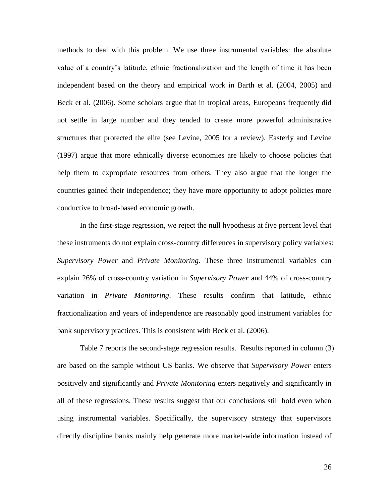methods to deal with this problem. We use three instrumental variables: the absolute value of a country's latitude, ethnic fractionalization and the length of time it has been independent based on the theory and empirical work in Barth et al. (2004, 2005) and Beck et al. (2006). Some scholars argue that in tropical areas, Europeans frequently did not settle in large number and they tended to create more powerful administrative structures that protected the elite (see Levine, 2005 for a review). Easterly and Levine (1997) argue that more ethnically diverse economies are likely to choose policies that help them to expropriate resources from others. They also argue that the longer the countries gained their independence; they have more opportunity to adopt policies more conductive to broad-based economic growth.

In the first-stage regression, we reject the null hypothesis at five percent level that these instruments do not explain cross-country differences in supervisory policy variables: *Supervisory Power* and *Private Monitoring*. These three instrumental variables can explain 26% of cross-country variation in *Supervisory Power* and 44% of cross-country variation in *Private Monitoring*. These results confirm that latitude, ethnic fractionalization and years of independence are reasonably good instrument variables for bank supervisory practices. This is consistent with Beck et al. (2006).

Table 7 reports the second-stage regression results. Results reported in column (3) are based on the sample without US banks. We observe that *Supervisory Power* enters positively and significantly and *Private Monitoring* enters negatively and significantly in all of these regressions. These results suggest that our conclusions still hold even when using instrumental variables. Specifically, the supervisory strategy that supervisors directly discipline banks mainly help generate more market-wide information instead of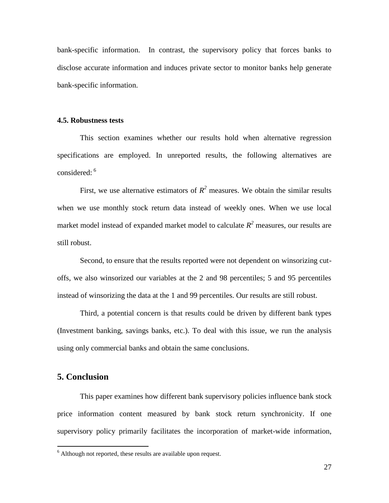bank-specific information. In contrast, the supervisory policy that forces banks to disclose accurate information and induces private sector to monitor banks help generate bank-specific information.

#### **4.5. Robustness tests**

This section examines whether our results hold when alternative regression specifications are employed. In unreported results, the following alternatives are considered: <sup>6</sup>

First, we use alternative estimators of  $R^2$  measures. We obtain the similar results when we use monthly stock return data instead of weekly ones. When we use local market model instead of expanded market model to calculate  $R^2$  measures, our results are still robust.

Second, to ensure that the results reported were not dependent on winsorizing cutoffs, we also winsorized our variables at the 2 and 98 percentiles; 5 and 95 percentiles instead of winsorizing the data at the 1 and 99 percentiles. Our results are still robust.

Third, a potential concern is that results could be driven by different bank types (Investment banking, savings banks, etc.). To deal with this issue, we run the analysis using only commercial banks and obtain the same conclusions.

## **5. Conclusion**

 $\overline{a}$ 

This paper examines how different bank supervisory policies influence bank stock price information content measured by bank stock return synchronicity. If one supervisory policy primarily facilitates the incorporation of market-wide information,

 $6$  Although not reported, these results are available upon request.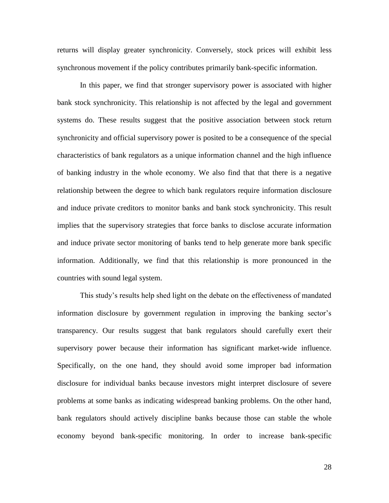returns will display greater synchronicity. Conversely, stock prices will exhibit less synchronous movement if the policy contributes primarily bank-specific information.

In this paper, we find that stronger supervisory power is associated with higher bank stock synchronicity. This relationship is not affected by the legal and government systems do. These results suggest that the positive association between stock return synchronicity and official supervisory power is posited to be a consequence of the special characteristics of bank regulators as a unique information channel and the high influence of banking industry in the whole economy. We also find that that there is a negative relationship between the degree to which bank regulators require information disclosure and induce private creditors to monitor banks and bank stock synchronicity. This result implies that the supervisory strategies that force banks to disclose accurate information and induce private sector monitoring of banks tend to help generate more bank specific information. Additionally, we find that this relationship is more pronounced in the countries with sound legal system.

This study's results help shed light on the debate on the effectiveness of mandated information disclosure by government regulation in improving the banking sector's transparency. Our results suggest that bank regulators should carefully exert their supervisory power because their information has significant market-wide influence. Specifically, on the one hand, they should avoid some improper bad information disclosure for individual banks because investors might interpret disclosure of severe problems at some banks as indicating widespread banking problems. On the other hand, bank regulators should actively discipline banks because those can stable the whole economy beyond bank-specific monitoring. In order to increase bank-specific

28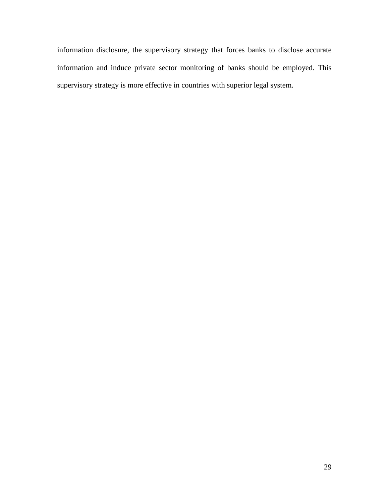information disclosure, the supervisory strategy that forces banks to disclose accurate information and induce private sector monitoring of banks should be employed. This supervisory strategy is more effective in countries with superior legal system.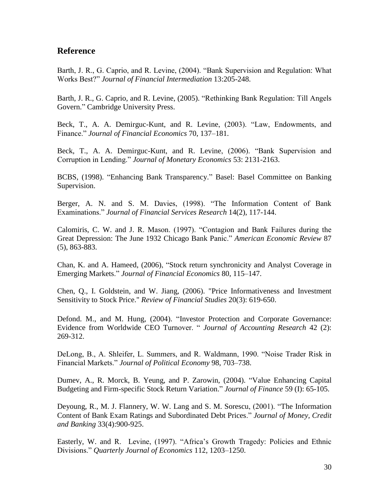## **Reference**

Barth, J. R., G. Caprio, and R. Levine, (2004). "Bank Supervision and Regulation: What Works Best?" *Journal of Financial Intermediation* 13:205-248.

Barth, J. R., G. Caprio, and R. Levine, (2005). "Rethinking Bank Regulation: Till Angels Govern." Cambridge University Press.

Beck, T., A. A. Demirguc-Kunt, and R. Levine, (2003). "Law, Endowments, and Finance." *Journal of Financial Economics* 70, 137–181.

Beck, T., A. A. Demirguc-Kunt, and R. Levine, (2006). "Bank Supervision and Corruption in Lending." *Journal of Monetary Economics* 53: 2131-2163.

BCBS, (1998). "Enhancing Bank Transparency." Basel: Basel Committee on Banking Supervision.

Berger, A. N. and S. M. Davies, (1998). "The Information Content of Bank Examinations." *Journal of Financial Services Research* 14(2), 117-144.

Calomiris, C. W. and J. R. Mason. (1997). "Contagion and Bank Failures during the Great Depression: The June 1932 Chicago Bank Panic." *American Economic Review* 87 (5), 863-883.

Chan, K. and A. Hameed, (2006), "Stock return synchronicity and Analyst Coverage in Emerging Markets." *Journal of Financial Economics* 80, 115–147.

Chen, Q., I. Goldstein, and W. Jiang, (2006). "Price Informativeness and Investment Sensitivity to Stock Price." *Review of Financial Studies* 20(3): 619-650.

Defond. M., and M. Hung, (2004). "Investor Protection and Corporate Governance: Evidence from Worldwide CEO Turnover. " *Journal of Accounting Research* 42 (2): 269-312.

DeLong, B., A. Shleifer, L. Summers, and R. Waldmann, 1990. "Noise Trader Risk in Financial Markets." *Journal of Political Economy* 98, 703–738.

Dumev, A., R. Morck, B. Yeung, and P. Zarowin, (2004). "Value Enhancing Capital Budgeting and Firm-specific Stock Return Variation." *Journal of Finance* 59 (I): 65-105.

Deyoung, R., M. J. Flannery, W. W. Lang and S. M. Sorescu, (2001). "The Information Content of Bank Exam Ratings and Subordinated Debt Prices." *Journal of Money, Credit and Banking* 33(4):900-925.

Easterly, W. and R. Levine, (1997). "Africa's Growth Tragedy: Policies and Ethnic Divisions." *Quarterly Journal of Economics* 112, 1203–1250.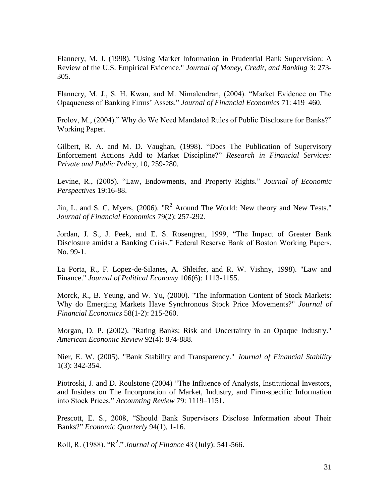Flannery, M. J. (1998). "Using Market Information in Prudential Bank Supervision: A Review of the U.S. Empirical Evidence." *Journal of Money, Credit, and Banking* 3: 273- 305.

Flannery, M. J., S. H. Kwan, and M. Nimalendran, (2004). "Market Evidence on The Opaqueness of Banking Firms' Assets." *Journal of Financial Economics* 71: 419–460.

Frolov, M., (2004)." Why do We Need Mandated Rules of Public Disclosure for Banks?" Working Paper.

Gilbert, R. A. and M. D. Vaughan, (1998). "Does The Publication of Supervisory Enforcement Actions Add to Market Discipline?" *Research in Financial Services: Private and Public Policy,* 10, 259-280.

Levine, R., (2005). "Law, Endowments, and Property Rights." *Journal of Economic Perspectives* 19:16-88.

Jin, L. and S. C. Myers, (2006). " $R^2$  Around The World: New theory and New Tests." *Journal of Financial Economics* 79(2): 257-292.

Jordan, J. S., J. Peek, and E. S. Rosengren, 1999, "The Impact of Greater Bank Disclosure amidst a Banking Crisis." Federal Reserve Bank of Boston Working Papers, No. 99-1.

La Porta, R., F. Lopez-de-Silanes, A. Shleifer, and R. W. Vishny, 1998). "Law and Finance." *Journal of Political Economy* 106(6): 1113-1155.

Morck, R., B. Yeung, and W. Yu, (2000). "The Information Content of Stock Markets: Why do Emerging Markets Have Synchronous Stock Price Movements?" *Journal of Financial Economics* 58(1-2): 215-260.

Morgan, D. P. (2002). "Rating Banks: Risk and Uncertainty in an Opaque Industry." *American Economic Review* 92(4): 874-888.

Nier, E. W. (2005). "Bank Stability and Transparency." *Journal of Financial Stability* 1(3): 342-354.

Piotroski, J. and D. Roulstone (2004) "The Influence of Analysts, Institutional Investors, and Insiders on The Incorporation of Market, Industry, and Firm-specific Information into Stock Prices." *Accounting Review* 79: 1119–1151.

Prescott, E. S., 2008, "Should Bank Supervisors Disclose Information about Their Banks?" *Economic Quarterly* 94(1), 1-16.

Roll, R. (1988). "R<sup>2</sup> ." *Journal of Finance* 43 (July): 541-566.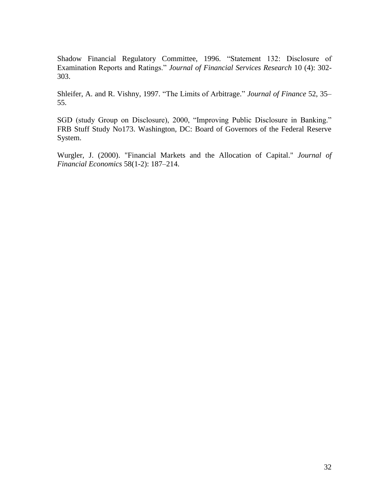Shadow Financial Regulatory Committee, 1996. "Statement 132: Disclosure of Examination Reports and Ratings." *Journal of Financial Services Research* 10 (4): 302- 303.

Shleifer, A. and R. Vishny, 1997. "The Limits of Arbitrage." *Journal of Finance* 52, 35– 55.

SGD (study Group on Disclosure), 2000, "Improving Public Disclosure in Banking." FRB Stuff Study No173. Washington, DC: Board of Governors of the Federal Reserve System.

Wurgler, J. (2000). "Financial Markets and the Allocation of Capital." *Journal of Financial Economics* 58(1-2): 187–214.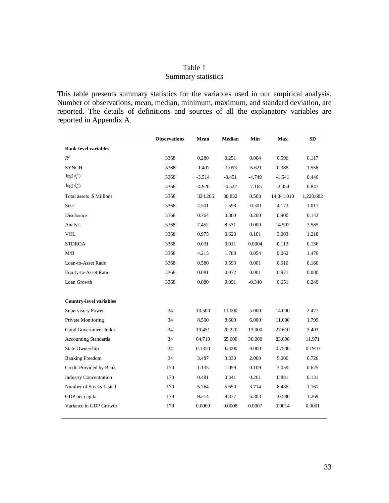## Table 1 Summary statistics

This table presents summary statistics for the variables used in our empirical analysis. Number of observations, mean, median, minimum, maximum, and standard deviation, are reported. The details of definitions and sources of all the explanatory variables are reported in Appendix A.

|                                | <b>Observations</b> | Mean     | Median   | Min      | Max        | <b>SD</b> |
|--------------------------------|---------------------|----------|----------|----------|------------|-----------|
| <b>Bank-level variables</b>    |                     |          |          |          |            |           |
| $R^2$                          | 3368                | 0.280    | 0.251    | 0.004    | 0.596      | 0.117     |
| <b>SYNCH</b>                   | 3368                | $-1.407$ | $-1.093$ | $-5.621$ | 0.388      | 1.558     |
| $log(\delta_i^2)$              | 3368                | $-3.514$ | $-3.451$ | $-4.749$ | $-1.541$   | 0.446     |
| $\log(\delta_m^2)$             | 3368                | $-4.920$ | $-4.522$ | $-7.165$ | $-2.454$   | 0.847     |
| Total assets \$ Millions       | 3368                | 324.266  | 38.832   | 0.508    | 14,841.010 | 1,220.682 |
| Size                           | 3368                | 2.501    | 1.598    | $-0.301$ | 4.173      | 1.011     |
| Disclosure                     | 3368                | 0.764    | 0.800    | 0.200    | 0.900      | 0.142     |
| Analyst                        | 3368                | 7.452    | 8.531    | 0.000    | 14.502     | 3.565     |
| <b>VOL</b>                     | 3368                | 0.975    | 0.623    | 0.101    | 3.003      | 1.218     |
| <b>STDROA</b>                  | 3368                | 0.031    | 0.011    | 0.0004   | 0.113      | 0.136     |
| M/B                            | 3368                | 4.215    | 1.788    | 0.054    | 9.062      | 1.476     |
| Loan-to-Asset Ratio            | 3368                | 0.580    | 0.593    | 0.001    | 0.910      | 0.160     |
| Equity-to-Asset Ratio          | 3368                | 0.081    | 0.072    | 0.001    | 0.971      | 0.080     |
| Loan Growth                    | 3368                | 0.080    | 0.091    | $-0.340$ | 0.651      | 0.240     |
| <b>Country-level variables</b> |                     |          |          |          |            |           |
| <b>Supervisory Power</b>       | 34                  | 10.500   | 11.000   | 5.000    | 14.000     | 2.477     |
| Private Monitoring             | 34                  | 8.500    | 8.600    | 6.000    | 11.000     | 1.799     |
| Good Government Index          | 34                  | 19.451   | 20.220   | 13.000   | 27.610     | 3.403     |
| <b>Accounting Standards</b>    | 34                  | 64.719   | 65.000   | 36.000   | 83.000     | 11.971    |
| State Ownership                | 34                  | 0.1350   | 0.2000   | 0.000    | 0.7530     | 0.1910    |
| <b>Banking Freedom</b>         | 34                  | 3.487    | 3.330    | 2.000    | 5.000      | 0.726     |
| Credit Provided by Bank        | 170                 | 1.135    | 1.059    | 0.109    | 3.059      | 0.625     |
| <b>Industry Concentration</b>  | 170                 | 0.481    | 0.341    | 0.261    | 0.881      | 0.131     |
| Number of Stocks Listed        | 170                 | 5.764    | 5.650    | 3.714    | 8.436      | 1.161     |
| GDP per capita                 | 170                 | 9.214    | 9.877    | 6.303    | 10.580     | 1.269     |
| Variance in GDP Growth         | 170                 | 0.0009   | 0.0008   | 0.0007   | 0.0014     | 0.0001    |
|                                |                     |          |          |          |            |           |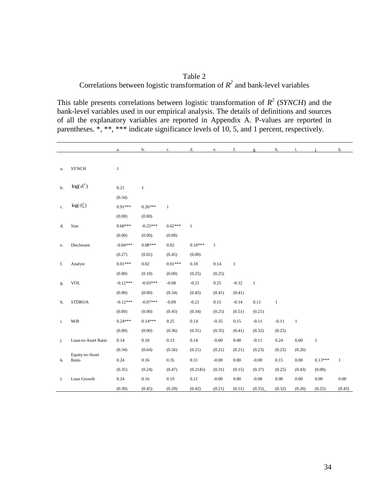Table 2 Correlations between logistic transformation of  $R^2$  and bank-level variables

This table presents correlations between logistic transformation of  $R^2$  (*SYNCH*) and the bank-level variables used in our empirical analysis. The details of definitions and sources of all the explanatory variables are reported in Appendix A. P-values are reported in parentheses. \*, \*\*, \*\*\* indicate significance levels of 10, 5, and 1 percent, respectively.

|    |                     | a.           | b.           | c.           | d.           | e.           | f.           | g.      | h.       | i.     |              | k.       |
|----|---------------------|--------------|--------------|--------------|--------------|--------------|--------------|---------|----------|--------|--------------|----------|
|    |                     |              |              |              |              |              |              |         |          |        |              |          |
| a. | <b>SYNCH</b>        | $\mathbf{1}$ |              |              |              |              |              |         |          |        |              |          |
|    |                     |              |              |              |              |              |              |         |          |        |              |          |
| b. | $\log(\delta_i^2)$  | 0.21         | $\mathbf{1}$ |              |              |              |              |         |          |        |              |          |
|    |                     | (0.34)       |              |              |              |              |              |         |          |        |              |          |
| c. | $log(\delta_m^2)$   | $0.91***$    | $0.26***$    | $\mathbf{1}$ |              |              |              |         |          |        |              |          |
|    |                     | (0.00)       | (0.00)       |              |              |              |              |         |          |        |              |          |
| d. | Size                | $0.60***$    | $-0.25***$   | $0.62***$    | $\mathbf{1}$ |              |              |         |          |        |              |          |
|    |                     | (0.00)       | (0.00)       | (0.00)       |              |              |              |         |          |        |              |          |
| e. | Disclosure          | $-0.04***$   | $0.08***$    | 0.02         | $0.10***$    | $\mathbf{1}$ |              |         |          |        |              |          |
|    |                     | (0.27)       | (0.02)       | (0.45)       | (0.00)       |              |              |         |          |        |              |          |
| f. | Analyst             | $0.01***$    | 0.02         | $0.01***$    | 0.18         | 0.14         | $\mathbf{1}$ |         |          |        |              |          |
|    |                     | (0.00)       | (0.10)       | (0.00)       | (0.25)       | (0.25)       |              |         |          |        |              |          |
| g. | <b>VOL</b>          | $-0.12***$   | $-0.03***$   | $-0.08$      | $-0.21$      | 0.25         | $-0.12$      | $\,1\,$ |          |        |              |          |
|    |                     | (0.00)       | (0.00)       | (0.34)       | (0.45)       | (0.41)       | (0.41)       |         |          |        |              |          |
| h. | <b>STDROA</b>       | $-0.12***$   | $-0.07***$   | $-0.09$      | $-0.21$      | 0.15         | $-0.14$      | 0.11    | $\,1$    |        |              |          |
|    |                     | (0.00)       | (0.00)       | (0.45)       | (0.34)       | (0.25)       | (0.51)       | (0.21)  |          |        |              |          |
| i. | M/B                 | $0.24***$    | $0.14***$    | 0.25         | 0.14         | $-0.35$      | 0.15         | $-0.11$ | $-0.11$  | $\,1$  |              |          |
|    |                     | (0.00)       | (0.00)       | (0.36)       | (0.31)       | (0.35)       | (0.41)       | (0.32)  | (0.25)   |        |              |          |
| j. | Loan-to-Asset Ratio | 0.14         | $0.10\,$     | 0.13         | 0.14         | $-0.00$      | $0.00\,$     | $-0.11$ | 0.24     | 0.00   | $\mathbf{1}$ |          |
|    | Equity-to-Asset     | (0.34)       | (0.64)       | (0.56)       | (0.21)       | (0.21)       | (0.21)       | (0.23)  | (0.25)   | (0.26) |              |          |
| k. | Ratio               | 0.24         | 0.16         | 0.35         | 0.31         | $-0.00$      | $0.00\,$     | $-0.00$ | 0.15     | 0.00   | $0.13***$    | 1        |
|    |                     | (0.35)       | (0.24)       | (0.47)       | (0.2145)     | (0.31)       | (0.15)       | (0.37)  | (0.25)   | (0.43) | (0.00)       |          |
| 1. | Loan Growth         | 0.24         | 0.16         | 0.19         | 0.21         | $-0.00$      | 0.00         | $-0.00$ | $0.00\,$ | 0.00   | 0.00         | $0.00\,$ |
|    |                     | (0.30)       | (0.45)       | (0.28)       | (0.42)       | (0.21)       | (0.51)       | (0.35)  | (0.32)   | (0.26) | (0.25)       | (0.43)   |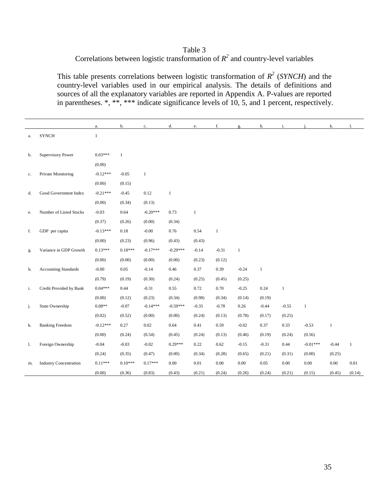## Table 3 Correlations between logistic transformation of  $R^2$  and country-level variables

This table presents correlations between logistic transformation of  $R^2$  (*SYNCH*) and the country-level variables used in our empirical analysis. The details of definitions and sources of all the explanatory variables are reported in Appendix A. P-values are reported in parentheses. \*, \*\*, \*\*\* indicate significance levels of 10, 5, and 1 percent, respectively.

|    |                               | a.           | b.           | c.         | d.           | e.           | f.           | g.           | h.      | i.           | j.           | k.           | 1.       |
|----|-------------------------------|--------------|--------------|------------|--------------|--------------|--------------|--------------|---------|--------------|--------------|--------------|----------|
| а. | <b>SYNCH</b>                  | $\mathbf{1}$ |              |            |              |              |              |              |         |              |              |              |          |
|    |                               |              |              |            |              |              |              |              |         |              |              |              |          |
| b. | <b>Supervisory Power</b>      | $0.03***$    | $\mathbf{1}$ |            |              |              |              |              |         |              |              |              |          |
|    |                               | (0.00)       |              |            |              |              |              |              |         |              |              |              |          |
| c. | Private Monitoring            | $-0.12***$   | $-0.05$      | $\,1\,$    |              |              |              |              |         |              |              |              |          |
|    |                               | (0.00)       | (0.15)       |            |              |              |              |              |         |              |              |              |          |
| d. | Good Government Index         | $-0.21***$   | $-0.45$      | 0.12       | $\mathbf{1}$ |              |              |              |         |              |              |              |          |
|    |                               | (0.00)       | (0.34)       | (0.13)     |              |              |              |              |         |              |              |              |          |
| e. | Number of Listed Stocks       | $-0.03$      | 0.64         | $-0.20***$ | 0.73         | $\mathbf{1}$ |              |              |         |              |              |              |          |
|    |                               | (0.37)       | (0.26)       | (0.00)     | (0.34)       |              |              |              |         |              |              |              |          |
| f. | GDP per capita                | $-0.13***$   | 0.18         | $-0.00$    | 0.76         | 0.54         | $\mathbf{1}$ |              |         |              |              |              |          |
|    |                               | (0.00)       | (0.23)       | (0.96)     | (0.43)       | (0.43)       |              |              |         |              |              |              |          |
| g. | Variance in GDP Growth        | $0.13***$    | $0.18***$    | $-0.17***$ | $-0.29***$   | $-0.14$      | $-0.31$      | $\mathbf{1}$ |         |              |              |              |          |
|    |                               | (0.00)       | (0.00)       | (0.00)     | (0.00)       | (0.23)       | (0.12)       |              |         |              |              |              |          |
| h. | <b>Accounting Standards</b>   | $-0.00$      | 0.05         | $-0.14$    | 0.46         | 0.37         | 0.39         | $-0.24$      | $\,1$   |              |              |              |          |
|    |                               | (0.79)       | (0.19)       | (0.30)     | (0.24)       | (0.25)       | (0.45)       | (0.25)       |         |              |              |              |          |
| i. | Credit Provided by Bank       | $0.04***$    | 0.44         | $-0.31$    | 0.55         | 0.72         | 0.70         | $-0.25$      | 0.24    | $\mathbf{1}$ |              |              |          |
|    |                               | (0.00)       | (0.12)       | (0.23)     | (0.34)       | (0.98)       | (0.34)       | (0.14)       | (0.19)  |              |              |              |          |
| j. | State Ownership               | $0.08**$     | $-0.07$      | $-0.14***$ | $-0.59***$   | $-0.35$      | $-0.78$      | 0.26         | $-0.44$ | $-0.55$      | $\mathbf{1}$ |              |          |
|    |                               | (0.02)       | (0.52)       | (0.00)     | (0.00)       | (0.24)       | (0.13)       | (0.78)       | (0.17)  | (0.25)       |              |              |          |
| k. | <b>Banking Freedom</b>        | $-0.12***$   | 0.27         | 0.02       | 0.64         | 0.41         | 0.59         | $-0.02$      | 0.37    | 0.33         | $-0.53$      | $\mathbf{1}$ |          |
|    |                               | (0.00)       | (0.24)       | (0.54)     | (0.45)       | (0.24)       | (0.13)       | (0.46)       | (0.19)  | (0.24)       | (0.56)       |              |          |
| 1. | Foreign Ownership             | $-0.04$      | $-0.03$      | $-0.02$    | $0.29***$    | 0.22         | 0.62         | $-0.15$      | $-0.31$ | 0.44         | $-0.01***$   | $-0.44$      | $\,1$    |
|    |                               | (0.24)       | (0.35)       | (0.47)     | (0.00)       | (0.34)       | (0.28)       | (0.65)       | (0.21)  | (0.31)       | (0.00)       | (0.25)       |          |
| m. | <b>Industry Concentration</b> | $0.11***$    | $0.10***$    | $0.17***$  | 0.00         | $0.01\,$     | 0.00         | 0.00         | 0.05    | $0.00\,$     | $0.00\,$     | $0.00\,$     | $0.01\,$ |
|    |                               | (0.00)       | (0.36)       | (0.83)     | (0.43)       | (0.21)       | (0.24)       | (0.26)       | (0.24)  | (0.21)       | (0.15)       | (0.45)       | (0.14)   |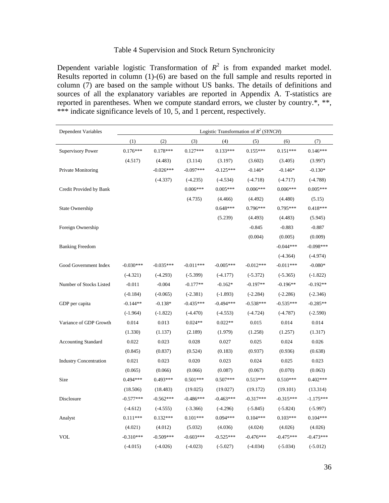#### Table 4 Supervision and Stock Return Synchronicity

Dependent variable logistic Transformation of  $R^2$  is from expanded market model. Results reported in column (1)-(6) are based on the full sample and results reported in column (7) are based on the sample without US banks. The details of definitions and sources of all the explanatory variables are reported in Appendix A. T-statistics are reported in parentheses. When we compute standard errors, we cluster by country.\*, \*\*, \*\*\* indicate significance levels of 10, 5, and 1 percent, respectively.

| Dependent Variables           | Logistic Transformation of $R^2$ (SYNCH) |             |             |             |             |             |             |
|-------------------------------|------------------------------------------|-------------|-------------|-------------|-------------|-------------|-------------|
|                               | (1)                                      | (2)         | (3)         | (4)         | (5)         | (6)         | (7)         |
| <b>Supervisory Power</b>      | $0.176***$                               | $0.178***$  | $0.127***$  | $0.133***$  | $0.155***$  | $0.151***$  | $0.146***$  |
|                               | (4.517)                                  | (4.483)     | (3.114)     | (3.197)     | (3.602)     | (3.405)     | (3.997)     |
| Private Monitoring            |                                          | $-0.026***$ | $-0.097***$ | $-0.125***$ | $-0.146*$   | $-0.146*$   | $-0.130*$   |
|                               |                                          | $(-4.337)$  | $(-4.235)$  | $(-4.534)$  | $(-4.718)$  | $(-4.717)$  | $(-4.788)$  |
| Credit Provided by Bank       |                                          |             | $0.006***$  | $0.005***$  | $0.006***$  | $0.006***$  | $0.005***$  |
|                               |                                          |             | (4.735)     | (4.466)     | (4.492)     | (4.480)     | (5.15)      |
| State Ownership               |                                          |             |             | $0.648***$  | $0.796***$  | $0.795***$  | $0.418***$  |
|                               |                                          |             |             | (5.239)     | (4.493)     | (4.483)     | (5.945)     |
| Foreign Ownership             |                                          |             |             |             | $-0.845$    | $-0.883$    | $-0.887$    |
|                               |                                          |             |             |             | (0.004)     | (0.005)     | (0.009)     |
| <b>Banking Freedom</b>        |                                          |             |             |             |             | $-0.044***$ | $-0.098***$ |
|                               |                                          |             |             |             |             | $(-4.364)$  | $(-4.974)$  |
| Good Government Index         | $-0.030***$                              | $-0.035***$ | $-0.011***$ | $-0.005***$ | $-0.012***$ | $-0.011***$ | $-0.080*$   |
|                               | $(-4.321)$                               | $(-4.293)$  | $(-5.399)$  | $(-4.177)$  | $(-5.372)$  | $(-5.365)$  | $(-1.822)$  |
| Number of Stocks Listed       | $-0.011$                                 | $-0.004$    | $-0.177**$  | $-0.162*$   | $-0.197**$  | $-0.196**$  | $-0.192**$  |
|                               | $(-0.184)$                               | $(-0.065)$  | $(-2.381)$  | $(-1.893)$  | $(-2.284)$  | $(-2.286)$  | $(-2.346)$  |
| GDP per capita                | $-0.144**$                               | $-0.138*$   | $-0.435***$ | $-0.494***$ | $-0.538***$ | $-0.535***$ | $-0.285**$  |
|                               | $(-1.964)$                               | $(-1.822)$  | $(-4.470)$  | $(-4.553)$  | $(-4.724)$  | $(-4.787)$  | $(-2.590)$  |
| Variance of GDP Growth        | 0.014                                    | 0.013       | $0.024**$   | $0.022**$   | 0.015       | 0.014       | 0.014       |
|                               | (1.330)                                  | (1.137)     | (2.189)     | (1.979)     | (1.258)     | (1.257)     | (1.317)     |
| <b>Accounting Standard</b>    | 0.022                                    | 0.023       | 0.028       | 0.027       | 0.025       | 0.024       | 0.026       |
|                               | (0.845)                                  | (0.837)     | (0.524)     | (0.183)     | (0.937)     | (0.936)     | (0.638)     |
| <b>Industry Concentration</b> | 0.021                                    | 0.023       | 0.020       | 0.023       | 0.024       | 0.025       | 0.023       |
|                               | (0.065)                                  | (0.066)     | (0.066)     | (0.087)     | (0.067)     | (0.070)     | (0.063)     |
| Size                          | $0.494***$                               | $0.493***$  | $0.501***$  | $0.507***$  | $0.513***$  | $0.510***$  | $0.402***$  |
|                               | (18.506)                                 | (18.483)    | (19.025)    | (19.027)    | (19.172)    | (19.101)    | (13.314)    |
| Disclosure                    | $-0.577***$                              | $-0.562***$ | $-0.486***$ | $-0.463***$ | $-0.317***$ | $-0.315***$ | $-1.175***$ |
|                               | $(-4.612)$                               | $(-4.555)$  | $(-3.366)$  | $(-4.296)$  | $(-5.845)$  | $(-5.824)$  | $(-5.997)$  |
| Analyst                       | $0.111***$                               | $0.132***$  | $0.101***$  | $0.094***$  | $0.104***$  | $0.103***$  | $0.104***$  |
|                               | (4.021)                                  | (4.012)     | (5.032)     | (4.036)     | (4.024)     | (4.026)     | (4.026)     |
| <b>VOL</b>                    | $-0.310***$                              | $-0.509***$ | $-0.603***$ | $-0.525***$ | $-0.476***$ | $-0.475***$ | $-0.473***$ |
|                               | $(-4.015)$                               | $(-4.026)$  | $(-4.023)$  | $(-5.027)$  | $(-4.034)$  | $(-5.034)$  | $(-5.012)$  |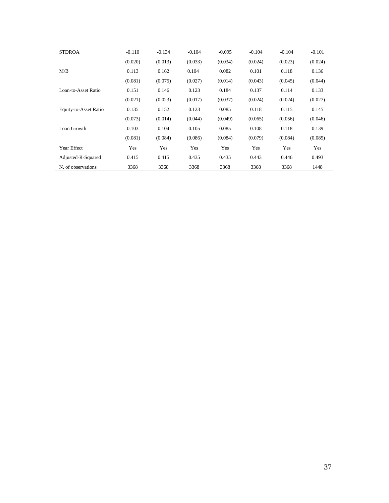| <b>STDROA</b>         | $-0.110$ | $-0.134$ | $-0.104$ | $-0.095$ | $-0.104$ | $-0.104$ | $-0.101$ |
|-----------------------|----------|----------|----------|----------|----------|----------|----------|
|                       | (0.020)  | (0.013)  | (0.033)  | (0.034)  | (0.024)  | (0.023)  | (0.024)  |
| M/B                   | 0.113    | 0.162    | 0.104    | 0.082    | 0.101    | 0.118    | 0.136    |
|                       | (0.081)  | (0.075)  | (0.027)  | (0.014)  | (0.043)  | (0.045)  | (0.044)  |
| Loan-to-Asset Ratio   | 0.151    | 0.146    | 0.123    | 0.184    | 0.137    | 0.114    | 0.133    |
|                       | (0.021)  | (0.023)  | (0.017)  | (0.037)  | (0.024)  | (0.024)  | (0.027)  |
| Equity-to-Asset Ratio | 0.135    | 0.152    | 0.123    | 0.085    | 0.118    | 0.115    | 0.145    |
|                       | (0.073)  | (0.014)  | (0.044)  | (0.049)  | (0.065)  | (0.056)  | (0.046)  |
| Loan Growth           | 0.103    | 0.104    | 0.105    | 0.085    | 0.108    | 0.118    | 0.139    |
|                       | (0.081)  | (0.084)  | (0.086)  | (0.084)  | (0.079)  | (0.084)  | (0.085)  |
| Year Effect           | Yes      | Yes      | Yes      | Yes      | Yes      | Yes      | Yes      |
| Adjusted-R-Squared    | 0.415    | 0.415    | 0.435    | 0.435    | 0.443    | 0.446    | 0.493    |
| N. of observations    | 3368     | 3368     | 3368     | 3368     | 3368     | 3368     | 1448     |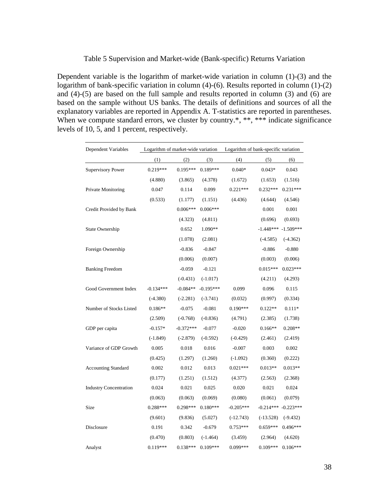#### Table 5 Supervision and Market-wide (Bank-specific) Returns Variation

Dependent variable is the logarithm of market-wide variation in column (1)-(3) and the logarithm of bank-specific variation in column (4)-(6). Results reported in column (1)-(2) and (4)-(5) are based on the full sample and results reported in column (3) and (6) are based on the sample without US banks. The details of definitions and sources of all the explanatory variables are reported in Appendix A. T-statistics are reported in parentheses. When we compute standard errors, we cluster by country.\*, \*\*, \*\*\* indicate significance levels of 10, 5, and 1 percent, respectively.

| Dependent Variables           | Logarithm of market-wide variation |             |             | Logarithm of bank-specific variation |             |             |  |
|-------------------------------|------------------------------------|-------------|-------------|--------------------------------------|-------------|-------------|--|
|                               | (1)                                | (2)         | (3)         | (4)                                  | (5)         | (6)         |  |
| <b>Supervisory Power</b>      | $0.219***$                         | $0.195***$  | $0.189***$  | $0.040*$                             | $0.043*$    | 0.043       |  |
|                               | (4.880)                            | (3.865)     | (4.378)     | (1.672)                              | (1.653)     | (1.516)     |  |
| Private Monitoring            | 0.047                              | 0.114       | 0.099       | $0.221***$                           | $0.232***$  | $0.231***$  |  |
|                               | (0.533)                            | (1.177)     | (1.151)     | (4.436)                              | (4.644)     | (4.546)     |  |
| Credit Provided by Bank       |                                    | $0.006***$  | $0.006***$  |                                      | 0.001       | 0.001       |  |
|                               |                                    | (4.323)     | (4.811)     |                                      | (0.696)     | (0.693)     |  |
| State Ownership               |                                    | 0.652       | 1.090**     |                                      | $-1.448***$ | $-1.509***$ |  |
|                               |                                    | (1.078)     | (2.081)     |                                      | $(-4.585)$  | $(-4.362)$  |  |
| Foreign Ownership             |                                    | $-0.836$    | $-0.847$    |                                      | $-0.886$    | $-0.880$    |  |
|                               |                                    | (0.006)     | (0.007)     |                                      | (0.003)     | (0.006)     |  |
| <b>Banking Freedom</b>        |                                    | $-0.059$    | $-0.121$    |                                      | $0.015***$  | $0.023***$  |  |
|                               |                                    | $(-0.431)$  | $(-1.017)$  |                                      | (4.211)     | (4.293)     |  |
| Good Government Index         | $-0.134***$                        | $-0.084**$  | $-0.195***$ | 0.099                                | 0.096       | 0.115       |  |
|                               | $(-4.380)$                         | $(-2.281)$  | $(-3.741)$  | (0.032)                              | (0.997)     | (0.334)     |  |
| Number of Stocks Listed       | $0.186**$                          | $-0.075$    | $-0.081$    | $0.190***$                           | $0.122**$   | $0.111*$    |  |
|                               | (2.509)                            | $(-0.768)$  | $(-0.836)$  | (4.791)                              | (2.385)     | (1.738)     |  |
| GDP per capita                | $-0.157*$                          | $-0.372***$ | $-0.077$    | $-0.020$                             | $0.166**$   | $0.208**$   |  |
|                               | $(-1.849)$                         | $(-2.879)$  | $(-0.592)$  | $(-0.429)$                           | (2.461)     | (2.419)     |  |
| Variance of GDP Growth        | 0.005                              | 0.018       | 0.016       | $-0.007$                             | 0.003       | 0.002       |  |
|                               | (0.425)                            | (1.297)     | (1.260)     | $(-1.092)$                           | (0.360)     | (0.222)     |  |
| <b>Accounting Standard</b>    | 0.002                              | 0.012       | 0.013       | $0.021***$                           | $0.013**$   | $0.013**$   |  |
|                               | (0.177)                            | (1.251)     | (1.512)     | (4.377)                              | (2.563)     | (2.368)     |  |
| <b>Industry Concentration</b> | 0.024                              | 0.021       | 0.025       | 0.020                                | 0.021       | 0.024       |  |
|                               | (0.063)                            | (0.063)     | (0.069)     | (0.080)                              | (0.061)     | (0.079)     |  |
| Size                          | $0.288***$                         | 0.298***    | $0.180***$  | $-0.205***$                          | $-0.214***$ | $-0.223***$ |  |
|                               | (9.601)                            | (9.836)     | (5.027)     | $(-12.743)$                          | $(-13.528)$ | $(-9.432)$  |  |
| Disclosure                    | 0.191                              | 0.342       | $-0.679$    | $0.753***$                           | $0.659***$  | $0.496***$  |  |
|                               | (0.470)                            | (0.803)     | $(-1.464)$  | (3.459)                              | (2.964)     | (4.620)     |  |
| Analyst                       | $0.119***$                         | $0.138***$  | $0.109***$  | 0.099***                             | $0.109***$  | $0.106***$  |  |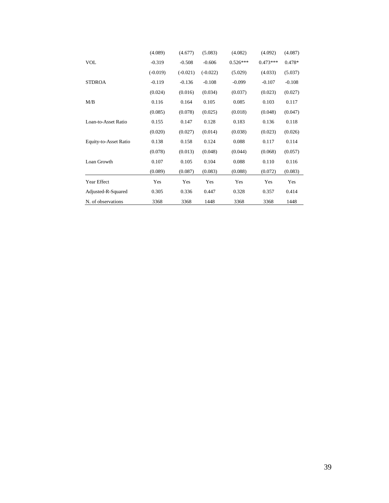|                       | (4.089)    | (4.677)    | (5.083)    | (4.082)    | (4.092)    | (4.087)  |
|-----------------------|------------|------------|------------|------------|------------|----------|
| <b>VOL</b>            | $-0.319$   | $-0.508$   | $-0.606$   | $0.526***$ | $0.473***$ | $0.478*$ |
|                       | $(-0.019)$ | $(-0.021)$ | $(-0.022)$ | (5.029)    | (4.033)    | (5.037)  |
| <b>STDROA</b>         | $-0.119$   | $-0.136$   | $-0.108$   | $-0.099$   | $-0.107$   | $-0.108$ |
|                       | (0.024)    | (0.016)    | (0.034)    | (0.037)    | (0.023)    | (0.027)  |
| M/B                   | 0.116      | 0.164      | 0.105      | 0.085      | 0.103      | 0.117    |
|                       | (0.085)    | (0.078)    | (0.025)    | (0.018)    | (0.048)    | (0.047)  |
| Loan-to-Asset Ratio   | 0.155      | 0.147      | 0.128      | 0.183      | 0.136      | 0.118    |
|                       | (0.020)    | (0.027)    | (0.014)    | (0.038)    | (0.023)    | (0.026)  |
| Equity-to-Asset Ratio | 0.138      | 0.158      | 0.124      | 0.088      | 0.117      | 0.114    |
|                       | (0.078)    | (0.013)    | (0.048)    | (0.044)    | (0.068)    | (0.057)  |
| Loan Growth           | 0.107      | 0.105      | 0.104      | 0.088      | 0.110      | 0.116    |
|                       | (0.089)    | (0.087)    | (0.083)    | (0.088)    | (0.072)    | (0.083)  |
| Year Effect           | Yes        | Yes        | Yes        | Yes        | Yes        | Yes      |
| Adjusted-R-Squared    | 0.305      | 0.336      | 0.447      | 0.328      | 0.357      | 0.414    |
| N. of observations    | 3368       | 3368       | 1448       | 3368       | 3368       | 1448     |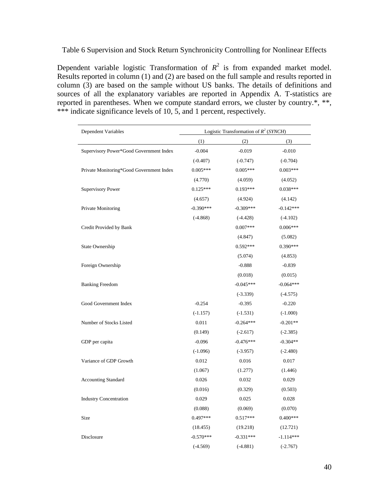Table 6 Supervision and Stock Return Synchronicity Controlling for Nonlinear Effects

Dependent variable logistic Transformation of  $R^2$  is from expanded market model. Results reported in column (1) and (2) are based on the full sample and results reported in column (3) are based on the sample without US banks. The details of definitions and sources of all the explanatory variables are reported in Appendix A. T-statistics are reported in parentheses. When we compute standard errors, we cluster by country.\*, \*\*, \*\*\* indicate significance levels of 10, 5, and 1 percent, respectively.

| Dependent Variables                      |             | Logistic Transformation of $R^2$ ( <i>SYNCH</i> ) |             |
|------------------------------------------|-------------|---------------------------------------------------|-------------|
|                                          | (1)         | (2)                                               | (3)         |
| Supervisory Power*Good Government Index  | $-0.004$    | $-0.019$                                          | $-0.010$    |
|                                          | $(-0.407)$  | $(-0.747)$                                        | $(-0.704)$  |
| Private Monitoring*Good Government Index | $0.005***$  | $0.005***$                                        | $0.003***$  |
|                                          | (4.770)     | (4.059)                                           | (4.052)     |
| <b>Supervisory Power</b>                 | $0.125***$  | $0.193***$                                        | $0.038***$  |
|                                          | (4.657)     | (4.924)                                           | (4.142)     |
| Private Monitoring                       | $-0.390***$ | $-0.309***$                                       | $-0.142***$ |
|                                          | $(-4.868)$  | $(-4.428)$                                        | $(-4.102)$  |
| Credit Provided by Bank                  |             | $0.007***$                                        | $0.006***$  |
|                                          |             | (4.847)                                           | (5.082)     |
| State Ownership                          |             | $0.592***$                                        | $0.390***$  |
|                                          |             | (5.074)                                           | (4.853)     |
| Foreign Ownership                        |             | $-0.888$                                          | $-0.839$    |
|                                          |             | (0.018)                                           | (0.015)     |
| <b>Banking Freedom</b>                   |             | $-0.045***$                                       | $-0.064***$ |
|                                          |             | $(-3.339)$                                        | $(-4.575)$  |
| Good Government Index                    | $-0.254$    | $-0.395$                                          | $-0.220$    |
|                                          | $(-1.157)$  | $(-1.531)$                                        | $(-1.000)$  |
| Number of Stocks Listed                  | 0.011       | $-0.264***$                                       | $-0.201**$  |
|                                          | (0.149)     | $(-2.617)$                                        | $(-2.385)$  |
| GDP per capita                           | $-0.096$    | $-0.476***$                                       | $-0.304**$  |
|                                          | $(-1.096)$  | $(-3.957)$                                        | $(-2.480)$  |
| Variance of GDP Growth                   | 0.012       | 0.016                                             | 0.017       |
|                                          | (1.067)     | (1.277)                                           | (1.446)     |
| <b>Accounting Standard</b>               | 0.026       | 0.032                                             | 0.029       |
|                                          | (0.016)     | (0.329)                                           | (0.503)     |
| <b>Industry Concentration</b>            | 0.029       | 0.025                                             | 0.028       |
|                                          | (0.088)     | (0.069)                                           | (0.070)     |
| Size                                     | $0.497***$  | $0.517***$                                        | $0.400***$  |
|                                          | (18.455)    | (19.218)                                          | (12.721)    |
| Disclosure                               | $-0.570***$ | $-0.331***$                                       | $-1.114***$ |
|                                          | $(-4.569)$  | $(-4.881)$                                        | $(-2.767)$  |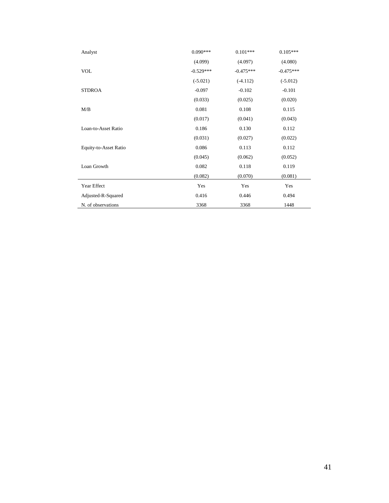| Analyst               | $0.090***$  | $0.101***$  | $0.105***$  |
|-----------------------|-------------|-------------|-------------|
|                       | (4.099)     | (4.097)     | (4.080)     |
| <b>VOL</b>            | $-0.529***$ | $-0.475***$ | $-0.475***$ |
|                       | $(-5.021)$  | $(-4.112)$  | $(-5.012)$  |
| <b>STDROA</b>         | $-0.097$    | $-0.102$    | $-0.101$    |
|                       | (0.033)     | (0.025)     | (0.020)     |
| M/B                   | 0.081       | 0.108       | 0.115       |
|                       | (0.017)     | (0.041)     | (0.043)     |
| Loan-to-Asset Ratio   | 0.186       | 0.130       | 0.112       |
|                       | (0.031)     | (0.027)     | (0.022)     |
| Equity-to-Asset Ratio | 0.086       | 0.113       | 0.112       |
|                       | (0.045)     | (0.062)     | (0.052)     |
| Loan Growth           | 0.082       | 0.118       | 0.119       |
|                       | (0.082)     | (0.070)     | (0.081)     |
| Year Effect           | Yes         | Yes         | Yes         |
| Adjusted-R-Squared    | 0.416       | 0.446       | 0.494       |
| N. of observations    | 3368        | 3368        | 1448        |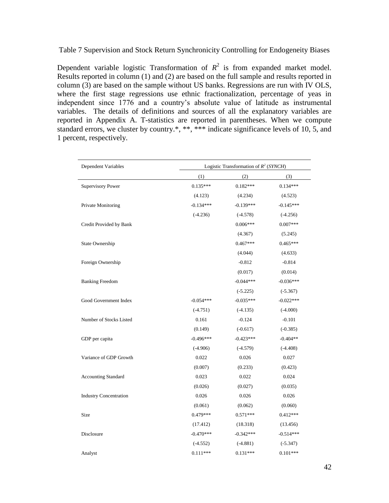Table 7 Supervision and Stock Return Synchronicity Controlling for Endogeneity Biases

Dependent variable logistic Transformation of  $R^2$  is from expanded market model. Results reported in column (1) and (2) are based on the full sample and results reported in column (3) are based on the sample without US banks. Regressions are run with IV OLS, where the first stage regressions use ethnic fractionalization, percentage of yeas in independent since 1776 and a country's absolute value of latitude as instrumental variables. The details of definitions and sources of all the explanatory variables are reported in Appendix A. T-statistics are reported in parentheses. When we compute standard errors, we cluster by country.\*, \*\*, \*\*\* indicate significance levels of 10, 5, and 1 percent, respectively.

| Dependent Variables           | Logistic Transformation of $R^2$ (SYNCH) |             |             |  |  |  |
|-------------------------------|------------------------------------------|-------------|-------------|--|--|--|
|                               | (1)                                      | (2)         | (3)         |  |  |  |
| <b>Supervisory Power</b>      | $0.135***$                               | $0.182***$  | $0.134***$  |  |  |  |
|                               | (4.123)                                  | (4.234)     | (4.523)     |  |  |  |
| Private Monitoring            | $-0.134***$                              | $-0.139***$ | $-0.145***$ |  |  |  |
|                               | $(-4.236)$                               | $(-4.578)$  | $(-4.256)$  |  |  |  |
| Credit Provided by Bank       |                                          | $0.006***$  | $0.007***$  |  |  |  |
|                               |                                          | (4.367)     | (5.245)     |  |  |  |
| State Ownership               |                                          | $0.467***$  | $0.465***$  |  |  |  |
|                               |                                          | (4.044)     | (4.633)     |  |  |  |
| Foreign Ownership             |                                          | $-0.812$    | $-0.814$    |  |  |  |
|                               |                                          | (0.017)     | (0.014)     |  |  |  |
| <b>Banking Freedom</b>        |                                          | $-0.044***$ | $-0.036***$ |  |  |  |
|                               |                                          | $(-5.225)$  | $(-5.367)$  |  |  |  |
| Good Government Index         | $-0.054***$                              | $-0.035***$ | $-0.022***$ |  |  |  |
|                               | $(-4.751)$                               | $(-4.135)$  | $(-4.000)$  |  |  |  |
| Number of Stocks Listed       | 0.161                                    | $-0.124$    | $-0.101$    |  |  |  |
|                               | (0.149)                                  | $(-0.617)$  | $(-0.385)$  |  |  |  |
| GDP per capita                | $-0.496***$                              | $-0.423***$ | $-0.404**$  |  |  |  |
|                               | $(-4.906)$                               | $(-4.579)$  | $(-4.408)$  |  |  |  |
| Variance of GDP Growth        | 0.022                                    | 0.026       | 0.027       |  |  |  |
|                               | (0.007)                                  | (0.233)     | (0.423)     |  |  |  |
| <b>Accounting Standard</b>    | 0.023                                    | 0.022       | 0.024       |  |  |  |
|                               | (0.026)                                  | (0.027)     | (0.035)     |  |  |  |
| <b>Industry Concentration</b> | 0.026                                    | 0.026       | 0.026       |  |  |  |
|                               | (0.061)                                  | (0.062)     | (0.060)     |  |  |  |
| Size                          | $0.479***$                               | $0.571***$  | $0.412***$  |  |  |  |
|                               | (17.412)                                 | (18.318)    | (13.456)    |  |  |  |
| Disclosure                    | $-0.470***$                              | $-0.342***$ | $-0.514***$ |  |  |  |
|                               | $(-4.552)$                               | $(-4.881)$  | $(-5.347)$  |  |  |  |
| Analyst                       | $0.111***$                               | $0.131***$  | $0.101***$  |  |  |  |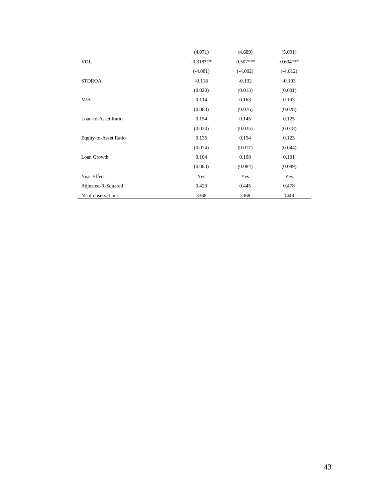|                       | (4.071)     | (4.689)     | (5.091)     |
|-----------------------|-------------|-------------|-------------|
| <b>VOL</b>            | $-0.318***$ | $-0.507***$ | $-0.604***$ |
|                       | $(-4.001)$  | $(-4.002)$  | $(-4.012)$  |
| <b>STDROA</b>         | $-0.118$    | $-0.132$    | $-0.103$    |
|                       | (0.020)     | (0.013)     | (0.031)     |
| M/B                   | 0.114       | 0.163       | 0.103       |
|                       | (0.088)     | (0.076)     | (0.028)     |
| Loan-to-Asset Ratio   | 0.154       | 0.145       | 0.125       |
|                       | (0.024)     | (0.025)     | (0.018)     |
| Equity-to-Asset Ratio | 0.135       | 0.154       | 0.123       |
|                       | (0.074)     | (0.017)     | (0.044)     |
| Loan Growth           | 0.104       | 0.108       | 0.101       |
|                       | (0.083)     | (0.084)     | (0.089)     |
| Year Effect           | Yes         | Yes         | Yes         |
| Adjusted-R-Squared    | 0.423       | 0.445       | 0.478       |
| N. of observations    | 3368        | 3368        | 1448        |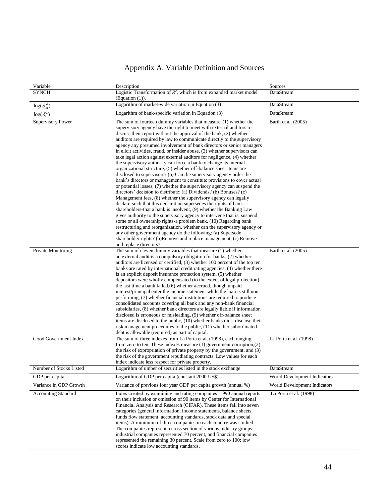## Appendix A. Variable Definition and Sources

| Variable                   | Description                                                                                                                                                                                                                                                                                                                                                                                                                                                                                                                                                                                                                                                                                                                                                                                                                                                                                                                                                                                                                                                                                                                                                                                                                                                                                                                                                                                                                                                                                                                                                                 | Sources                      |
|----------------------------|-----------------------------------------------------------------------------------------------------------------------------------------------------------------------------------------------------------------------------------------------------------------------------------------------------------------------------------------------------------------------------------------------------------------------------------------------------------------------------------------------------------------------------------------------------------------------------------------------------------------------------------------------------------------------------------------------------------------------------------------------------------------------------------------------------------------------------------------------------------------------------------------------------------------------------------------------------------------------------------------------------------------------------------------------------------------------------------------------------------------------------------------------------------------------------------------------------------------------------------------------------------------------------------------------------------------------------------------------------------------------------------------------------------------------------------------------------------------------------------------------------------------------------------------------------------------------------|------------------------------|
| <b>SYNCH</b>               | Logistic Transformation of $R^2$ , which is from expanded market model<br>(Equation $(1)$ ).                                                                                                                                                                                                                                                                                                                                                                                                                                                                                                                                                                                                                                                                                                                                                                                                                                                                                                                                                                                                                                                                                                                                                                                                                                                                                                                                                                                                                                                                                | DataStream                   |
| $\log(\delta_m^2)$         | Logarithm of market-wide variation in Equation (3)                                                                                                                                                                                                                                                                                                                                                                                                                                                                                                                                                                                                                                                                                                                                                                                                                                                                                                                                                                                                                                                                                                                                                                                                                                                                                                                                                                                                                                                                                                                          | DataStream                   |
| $log(\delta_i^2)$          | Logarithm of bank-specific variation in Equation (3)                                                                                                                                                                                                                                                                                                                                                                                                                                                                                                                                                                                                                                                                                                                                                                                                                                                                                                                                                                                                                                                                                                                                                                                                                                                                                                                                                                                                                                                                                                                        | DataStream                   |
| <b>Supervisory Power</b>   | The sum of fourteen dummy variables that measure $(1)$ whether the<br>supervisory agency have the right to meet with external auditors to<br>discuss their report without the approval of the bank, (2) whether<br>auditors are required by law to communicate directly to the supervisory<br>agency any presumed involvement of bank directors or senior managers<br>in elicit activities, fraud, or insider abuse, (3) whether supervisors can<br>take legal action against external auditors for negligence, (4) whether<br>the supervisory authority can force a bank to change its internal<br>organizational structure, (5) whether off-balance sheet items are<br>disclosed to supervisors? (6) Can the supervisory agency order the<br>bank's directors or management to constitute provisions to cover actual<br>or potential losses, (7) whether the supervisory agency can suspend the<br>directors' decision to distribute: (a) Dividends? (b) Bonuses? (c)<br>Management fees, (8) whether the supervisory agency can legally<br>declare-such that this declaration supersedes the rights of bank<br>shareholders-that a bank is insolvent, (9) whether the Banking Law<br>gives authority to the supervisory agency to intervene that is, suspend<br>some or all ownership rights-a problem bank, (10) Regarding bank<br>restructuring and reorganization, whether can the supervisory agency or<br>any other government agency do the following: (a) Supersede<br>shareholder rights? (b)Remove and replace management, (c) Remove<br>and replace directors? | Barth et al. (2005)          |
| Private Monitoring         | The sum of eleven dummy variables that measure (1) whether<br>an external audit is a compulsory obligation for banks, (2) whether<br>auditors are licensed or certified, (3) whether 100 percent of the top ten<br>banks are rated by international credit rating agencies, (4) whether there<br>is an explicit deposit insurance protection system, (5) whether<br>depositors were wholly compensated (to the extent of legal protection)<br>the last time a bank failed, (6) whether accrued, though unpaid<br>interest/principal enter the income statement while the loan is still non-<br>performing, (7) whether financial institutions are required to produce<br>consolidated accounts covering all bank and any non-bank financial<br>subsidiaries, (8) whether bank directors are legally liable if information<br>disclosed is erroneous or misleading, (9) whether off-balance sheet<br>items are disclosed to the public, (10) whether banks must disclose their<br>risk management procedures to the public, (11) whether subordinated<br>debt is allowable (required) as part of capital.                                                                                                                                                                                                                                                                                                                                                                                                                                                                    | Barth et al. (2005)          |
| Good Government Index      | The sum of three indexes from La Porta et al. (1998), each ranging<br>from zero to ten. These indexes measure $(1)$ government corruption, $(2)$<br>the risk of expropriation of private property by the government, and (3)<br>the risk of the government repudiating contracts. Low values for each<br>index indicate less respect for private property.                                                                                                                                                                                                                                                                                                                                                                                                                                                                                                                                                                                                                                                                                                                                                                                                                                                                                                                                                                                                                                                                                                                                                                                                                  | La Porta et al. (1998)       |
| Number of Stocks Listed    | Logarithm of umber of securities listed in the stock exchange                                                                                                                                                                                                                                                                                                                                                                                                                                                                                                                                                                                                                                                                                                                                                                                                                                                                                                                                                                                                                                                                                                                                                                                                                                                                                                                                                                                                                                                                                                               | DataStream                   |
| GDP per capita             | Logarithm of GDP per capita (constant 2000 US\$)                                                                                                                                                                                                                                                                                                                                                                                                                                                                                                                                                                                                                                                                                                                                                                                                                                                                                                                                                                                                                                                                                                                                                                                                                                                                                                                                                                                                                                                                                                                            | World Development Indicators |
| Variance in GDP Growth     | Variance of previous four year GDP per capita growth (annual %)                                                                                                                                                                                                                                                                                                                                                                                                                                                                                                                                                                                                                                                                                                                                                                                                                                                                                                                                                                                                                                                                                                                                                                                                                                                                                                                                                                                                                                                                                                             | World Development Indicators |
| <b>Accounting Standard</b> | Index created by examining and rating companies' 1990 annual reports<br>on their inclusion or omission of 90 items by Center for International<br>Financial Analysis and Research (CIFAR). These items fall into seven<br>categories (general information, income statements, balance sheets,<br>funds flow statement, accounting standards, stock data and special<br>items). A minimum of three companies in each country was studied.<br>The companies represent a cross section of various industry groups;<br>industrial companies represented 70 percent, and financial companies<br>represented the remaining 30 percent. Scale from zero to 100; low<br>scores indicate low accounting standards.                                                                                                                                                                                                                                                                                                                                                                                                                                                                                                                                                                                                                                                                                                                                                                                                                                                                   | La Porta et al. $(1998)$     |